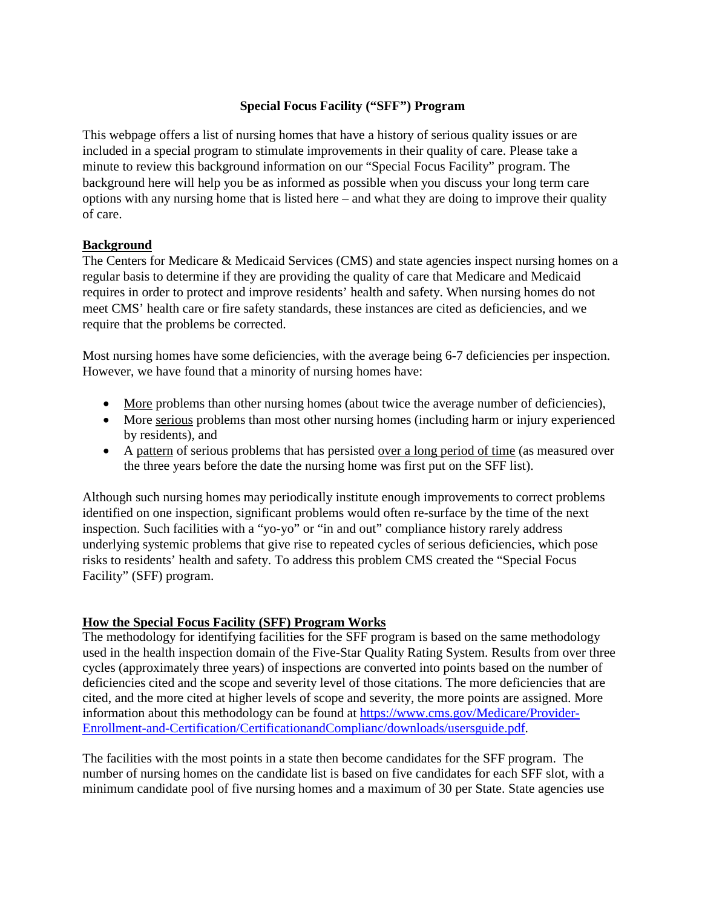## **Special Focus Facility ("SFF") Program**

This webpage offers a list of nursing homes that have a history of serious quality issues or are included in a special program to stimulate improvements in their quality of care. Please take a minute to review this background information on our "Special Focus Facility" program. The background here will help you be as informed as possible when you discuss your long term care options with any nursing home that is listed here – and what they are doing to improve their quality of care.

## **Background**

The Centers for Medicare & Medicaid Services (CMS) and state agencies inspect nursing homes on a regular basis to determine if they are providing the quality of care that Medicare and Medicaid requires in order to protect and improve residents' health and safety. When nursing homes do not meet CMS' health care or fire safety standards, these instances are cited as deficiencies, and we require that the problems be corrected.

Most nursing homes have some deficiencies, with the average being 6-7 deficiencies per inspection. However, we have found that a minority of nursing homes have:

- More problems than other nursing homes (about twice the average number of deficiencies),
- More serious problems than most other nursing homes (including harm or injury experienced by residents), and
- A pattern of serious problems that has persisted over a long period of time (as measured over the three years before the date the nursing home was first put on the SFF list).

Although such nursing homes may periodically institute enough improvements to correct problems identified on one inspection, significant problems would often re-surface by the time of the next inspection. Such facilities with a "yo-yo" or "in and out" compliance history rarely address underlying systemic problems that give rise to repeated cycles of serious deficiencies, which pose risks to residents' health and safety. To address this problem CMS created the "Special Focus Facility" (SFF) program.

# **How the Special Focus Facility (SFF) Program Works**

The methodology for identifying facilities for the SFF program is based on the same methodology used in the health inspection domain of the Five-Star Quality Rating System. Results from over three cycles (approximately three years) of inspections are converted into points based on the number of deficiencies cited and the scope and severity level of those citations. The more deficiencies that are cited, and the more cited at higher levels of scope and severity, the more points are assigned. More information about this methodology can be found at [https://www.cms.gov/Medicare/Provider-](https://www.cms.gov/Medicare/Provider-Enrollment-and-Certification/CertificationandComplianc/downloads/usersguide.pdf)[Enrollment-and-Certification/CertificationandComplianc/downloads/usersguide.pdf.](https://www.cms.gov/Medicare/Provider-Enrollment-and-Certification/CertificationandComplianc/downloads/usersguide.pdf)

The facilities with the most points in a state then become candidates for the SFF program. The number of nursing homes on the candidate list is based on five candidates for each SFF slot, with a minimum candidate pool of five nursing homes and a maximum of 30 per State. State agencies use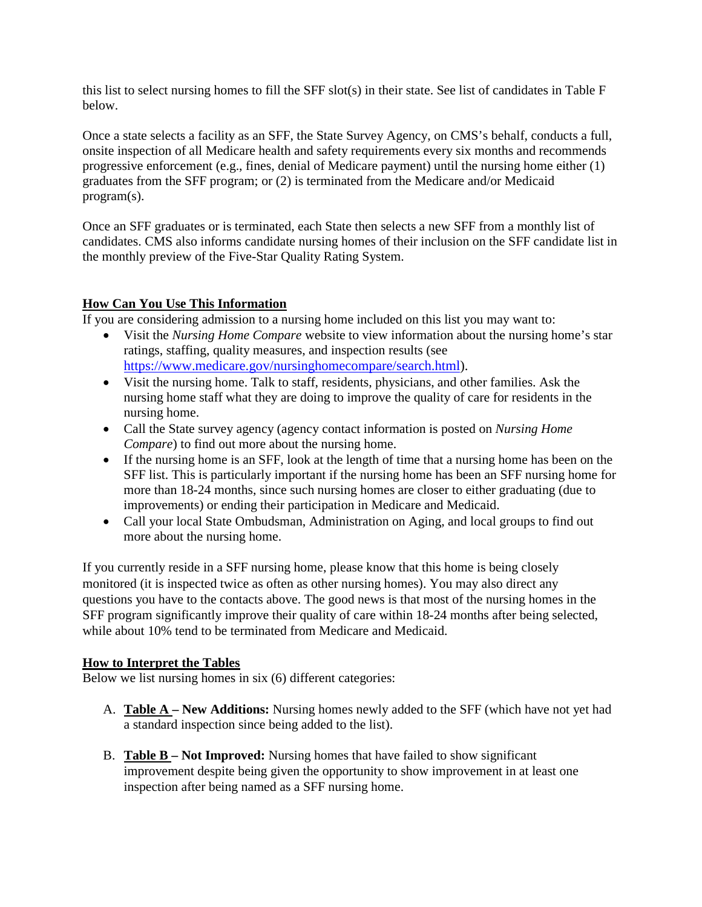this list to select nursing homes to fill the SFF slot(s) in their state. See list of candidates in Table  $F$ below.

Once a state selects a facility as an SFF, the State Survey Agency, on CMS's behalf, conducts a full, onsite inspection of all Medicare health and safety requirements every six months and recommends progressive enforcement (e.g., fines, denial of Medicare payment) until the nursing home either (1) graduates from the SFF program; or (2) is terminated from the Medicare and/or Medicaid program(s).

Once an SFF graduates or is terminated, each State then selects a new SFF from a monthly list of candidates. CMS also informs candidate nursing homes of their inclusion on the SFF candidate list in the monthly preview of the Five-Star Quality Rating System.

# **How Can You Use This Information**

If you are considering admission to a nursing home included on this list you may want to:

- Visit the *Nursing Home Compare* website to view information about the nursing home's star ratings, staffing, quality measures, and inspection results (see [https://www.medicare.gov/nursinghomecompare/search.html\)](https://www.medicare.gov/nursinghomecompare/search.html).
- Visit the nursing home. Talk to staff, residents, physicians, and other families. Ask the nursing home staff what they are doing to improve the quality of care for residents in the nursing home.
- Call the State survey agency (agency contact information is posted on *Nursing Home Compare*) to find out more about the nursing home.
- If the nursing home is an SFF, look at the length of time that a nursing home has been on the SFF list. This is particularly important if the nursing home has been an SFF nursing home for more than 18-24 months, since such nursing homes are closer to either graduating (due to improvements) or ending their participation in Medicare and Medicaid.
- Call your local State Ombudsman, Administration on Aging, and local groups to find out more about the nursing home.

If you currently reside in a SFF nursing home, please know that this home is being closely monitored (it is inspected twice as often as other nursing homes). You may also direct any questions you have to the contacts above. The good news is that most of the nursing homes in the SFF program significantly improve their quality of care within 18-24 months after being selected, while about 10% tend to be terminated from Medicare and Medicaid.

## **How to Interpret the Tables**

Below we list nursing homes in six (6) different categories:

- A. **Table A – New Additions:** Nursing homes newly added to the SFF (which have not yet had a standard inspection since being added to the list).
- B. **Table B – Not Improved:** Nursing homes that have failed to show significant improvement despite being given the opportunity to show improvement in at least one inspection after being named as a SFF nursing home.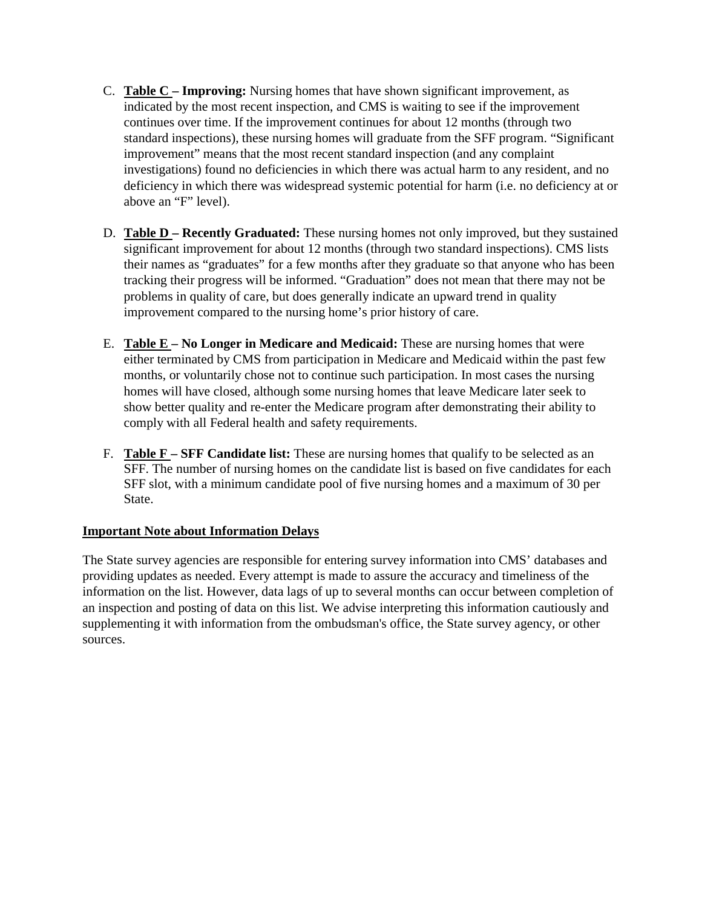- C. **Table C – Improving:** Nursing homes that have shown significant improvement, as indicated by the most recent inspection, and CMS is waiting to see if the improvement continues over time. If the improvement continues for about 12 months (through two standard inspections), these nursing homes will graduate from the SFF program. "Significant improvement" means that the most recent standard inspection (and any complaint investigations) found no deficiencies in which there was actual harm to any resident, and no deficiency in which there was widespread systemic potential for harm (i.e. no deficiency at or above an "F" level).
- D. **Table D – Recently Graduated:** These nursing homes not only improved, but they sustained significant improvement for about 12 months (through two standard inspections). CMS lists their names as "graduates" for a few months after they graduate so that anyone who has been tracking their progress will be informed. "Graduation" does not mean that there may not be problems in quality of care, but does generally indicate an upward trend in quality improvement compared to the nursing home's prior history of care.
- E. **Table E – No Longer in Medicare and Medicaid:** These are nursing homes that were either terminated by CMS from participation in Medicare and Medicaid within the past few months, or voluntarily chose not to continue such participation. In most cases the nursing homes will have closed, although some nursing homes that leave Medicare later seek to show better quality and re-enter the Medicare program after demonstrating their ability to comply with all Federal health and safety requirements.
- F. **Table F – SFF Candidate list:** These are nursing homes that qualify to be selected as an SFF. The number of nursing homes on the candidate list is based on five candidates for each SFF slot, with a minimum candidate pool of five nursing homes and a maximum of 30 per State.

## **Important Note about Information Delays**

The State survey agencies are responsible for entering survey information into CMS' databases and providing updates as needed. Every attempt is made to assure the accuracy and timeliness of the information on the list. However, data lags of up to several months can occur between completion of an inspection and posting of data on this list. We advise interpreting this information cautiously and supplementing it with information from the ombudsman's office, the State survey agency, or other sources.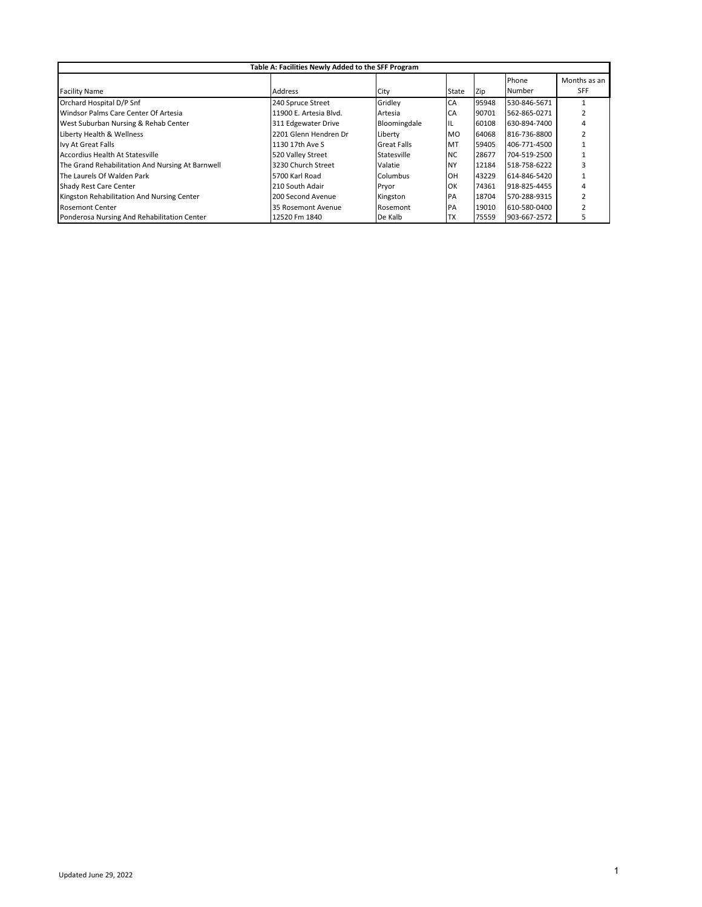|                                                  | Table A: Facilities Newly Added to the SFF Program |                    |           |       |              |              |  |  |  |  |
|--------------------------------------------------|----------------------------------------------------|--------------------|-----------|-------|--------------|--------------|--|--|--|--|
|                                                  |                                                    |                    |           |       | Phone        | Months as an |  |  |  |  |
| <b>Facility Name</b>                             | <b>Address</b>                                     | City               | State     | Zip   | Number       | <b>SFF</b>   |  |  |  |  |
| Orchard Hospital D/P Snf                         | 240 Spruce Street                                  | Gridley            | CA        | 95948 | 530-846-5671 |              |  |  |  |  |
| Windsor Palms Care Center Of Artesia             | 11900 E. Artesia Blvd.                             | Artesia            | CA        | 90701 | 562-865-0271 |              |  |  |  |  |
| West Suburban Nursing & Rehab Center             | 311 Edgewater Drive                                | Bloomingdale       | IL        | 60108 | 630-894-7400 |              |  |  |  |  |
| Liberty Health & Wellness                        | 2201 Glenn Hendren Dr                              | Liberty            | <b>MO</b> | 64068 | 816-736-8800 |              |  |  |  |  |
| Ivy At Great Falls                               | 1130 17th Ave S                                    | <b>Great Falls</b> | MT        | 59405 | 406-771-4500 |              |  |  |  |  |
| Accordius Health At Statesville                  | 520 Valley Street                                  | Statesville        | <b>NC</b> | 28677 | 704-519-2500 |              |  |  |  |  |
| The Grand Rehabilitation And Nursing At Barnwell | 3230 Church Street                                 | Valatie            | <b>NY</b> | 12184 | 518-758-6222 |              |  |  |  |  |
| The Laurels Of Walden Park                       | 5700 Karl Road                                     | Columbus           | OH        | 43229 | 614-846-5420 |              |  |  |  |  |
| Shady Rest Care Center                           | 210 South Adair                                    | Pryor              | OK        | 74361 | 918-825-4455 |              |  |  |  |  |
| Kingston Rehabilitation And Nursing Center       | 200 Second Avenue                                  | Kingston           | PA        | 18704 | 570-288-9315 |              |  |  |  |  |
| <b>Rosemont Center</b>                           | 35 Rosemont Avenue                                 | Rosemont           | PA        | 19010 | 610-580-0400 |              |  |  |  |  |
| Ponderosa Nursing And Rehabilitation Center      | 12520 Fm 1840                                      | De Kalb            | <b>TX</b> | 75559 | 903-667-2572 |              |  |  |  |  |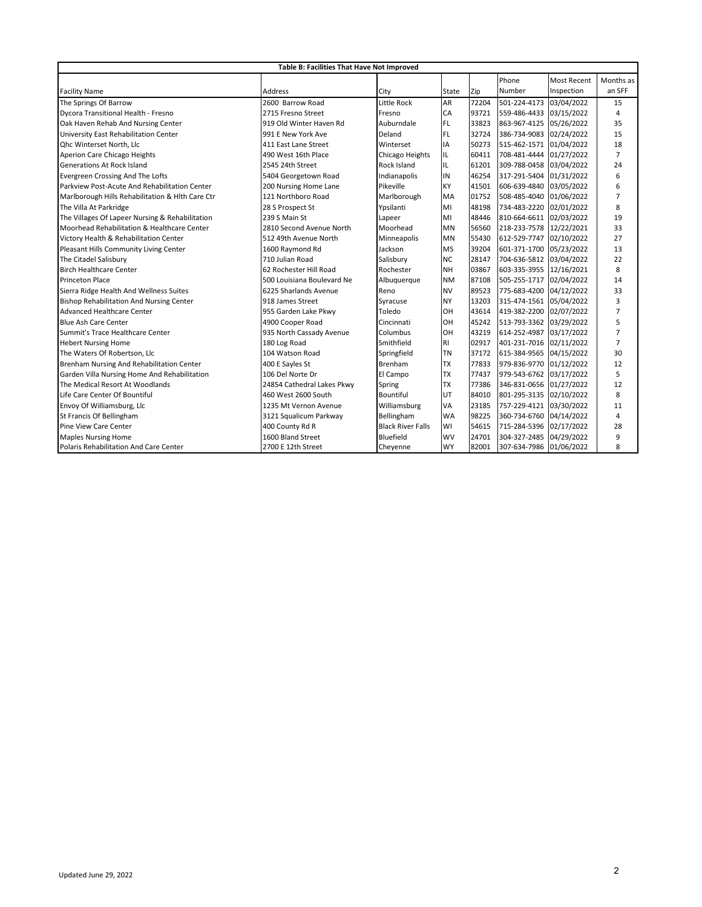|                                                  | Table B: Facilities That Have Not Improved |                          |           |       |                         |             |                |  |  |  |  |  |
|--------------------------------------------------|--------------------------------------------|--------------------------|-----------|-------|-------------------------|-------------|----------------|--|--|--|--|--|
|                                                  |                                            |                          |           |       | Phone                   | Most Recent | Months as      |  |  |  |  |  |
| <b>Facility Name</b>                             | Address                                    | City                     | State     | Zip   | Number                  | Inspection  | an SFF         |  |  |  |  |  |
| The Springs Of Barrow                            | 2600 Barrow Road                           | Little Rock              | <b>AR</b> | 72204 | 501-224-4173            | 03/04/2022  | 15             |  |  |  |  |  |
| Dycora Transitional Health - Fresno              | 2715 Fresno Street                         | Fresno                   | CA        | 93721 | 559-486-4433            | 03/15/2022  | 4              |  |  |  |  |  |
| Oak Haven Rehab And Nursing Center               | 919 Old Winter Haven Rd                    | Auburndale               | <b>FL</b> | 33823 | 863-967-4125            | 05/26/2022  | 35             |  |  |  |  |  |
| University East Rehabilitation Center            | 991 E New York Ave                         | Deland                   | <b>FL</b> | 32724 | 386-734-9083            | 02/24/2022  | 15             |  |  |  |  |  |
| Qhc Winterset North, Llc                         | 411 East Lane Street                       | Winterset                | IA        | 50273 | 515-462-1571 01/04/2022 |             | 18             |  |  |  |  |  |
| Aperion Care Chicago Heights                     | 490 West 16th Place                        | Chicago Heights          | IL        | 60411 | 708-481-4444            | 01/27/2022  | $\overline{7}$ |  |  |  |  |  |
| <b>Generations At Rock Island</b>                | 2545 24th Street                           | Rock Island              | IL        | 61201 | 309-788-0458            | 03/04/2022  | 24             |  |  |  |  |  |
| <b>Evergreen Crossing And The Lofts</b>          | 5404 Georgetown Road                       | Indianapolis             | IN        | 46254 | 317-291-5404            | 01/31/2022  | 6              |  |  |  |  |  |
| Parkview Post-Acute And Rehabilitation Center    | 200 Nursing Home Lane                      | Pikeville                | KY        | 41501 | 606-639-4840            | 03/05/2022  | 6              |  |  |  |  |  |
| Marlborough Hills Rehabilitation & Hlth Care Ctr | 121 Northboro Road                         | Marlborough              | MA        | 01752 | 508-485-4040            | 01/06/2022  | $\overline{7}$ |  |  |  |  |  |
| The Villa At Parkridge                           | 28 S Prospect St                           | Ypsilanti                | MI        | 48198 | 734-483-2220            | 02/01/2022  | 8              |  |  |  |  |  |
| The Villages Of Lapeer Nursing & Rehabilitation  | 239 S Main St                              | Lapeer                   | MI        | 48446 | 810-664-6611 02/03/2022 |             | 19             |  |  |  |  |  |
| Moorhead Rehabilitation & Healthcare Center      | 2810 Second Avenue North                   | Moorhead                 | <b>MN</b> | 56560 | 218-233-7578 12/22/2021 |             | 33             |  |  |  |  |  |
| Victory Health & Rehabilitation Center           | 512 49th Avenue North                      | Minneapolis              | <b>MN</b> | 55430 | 612-529-7747            | 02/10/2022  | 27             |  |  |  |  |  |
| Pleasant Hills Community Living Center           | 1600 Raymond Rd                            | Jackson                  | <b>MS</b> | 39204 | 601-371-1700            | 05/23/2022  | 13             |  |  |  |  |  |
| The Citadel Salisbury                            | 710 Julian Road                            | Salisbury                | <b>NC</b> | 28147 | 704-636-5812 03/04/2022 |             | 22             |  |  |  |  |  |
| <b>Birch Healthcare Center</b>                   | 62 Rochester Hill Road                     | Rochester                | <b>NH</b> | 03867 | 603-335-3955 12/16/2021 |             | 8              |  |  |  |  |  |
| <b>Princeton Place</b>                           | 500 Louisiana Boulevard Ne                 | Albuquerque              | <b>NM</b> | 87108 | 505-255-1717            | 02/04/2022  | 14             |  |  |  |  |  |
| Sierra Ridge Health And Wellness Suites          | 6225 Sharlands Avenue                      | Reno                     | <b>NV</b> | 89523 | 775-683-4200            | 04/12/2022  | 33             |  |  |  |  |  |
| <b>Bishop Rehabilitation And Nursing Center</b>  | 918 James Street                           | Syracuse                 | <b>NY</b> | 13203 | 315-474-1561 05/04/2022 |             | 3              |  |  |  |  |  |
| <b>Advanced Healthcare Center</b>                | 955 Garden Lake Pkwy                       | Toledo                   | OH        | 43614 | 419-382-2200            | 02/07/2022  | $\overline{7}$ |  |  |  |  |  |
| <b>Blue Ash Care Center</b>                      | 4900 Cooper Road                           | Cincinnati               | OH        | 45242 | 513-793-3362 03/29/2022 |             | 5              |  |  |  |  |  |
| Summit's Trace Healthcare Center                 | 935 North Cassady Avenue                   | Columbus                 | OH        | 43219 | 614-252-4987            | 03/17/2022  | $\overline{7}$ |  |  |  |  |  |
| <b>Hebert Nursing Home</b>                       | 180 Log Road                               | Smithfield               | <b>RI</b> | 02917 | 401-231-7016            | 02/11/2022  | $\overline{7}$ |  |  |  |  |  |
| The Waters Of Robertson. Llc                     | 104 Watson Road                            | Springfield              | <b>TN</b> | 37172 | 615-384-9565 04/15/2022 |             | 30             |  |  |  |  |  |
| Brenham Nursing And Rehabilitation Center        | 400 E Sayles St                            | Brenham                  | <b>TX</b> | 77833 | 979-836-9770            | 01/12/2022  | 12             |  |  |  |  |  |
| Garden Villa Nursing Home And Rehabilitation     | 106 Del Norte Dr                           | El Campo                 | <b>TX</b> | 77437 | 979-543-6762            | 03/17/2022  | 5              |  |  |  |  |  |
| The Medical Resort At Woodlands                  | 24854 Cathedral Lakes Pkwy                 | Spring                   | <b>TX</b> | 77386 | 346-831-0656 01/27/2022 |             | 12             |  |  |  |  |  |
| Life Care Center Of Bountiful                    | 460 West 2600 South                        | Bountiful                | UT        | 84010 | 801-295-3135 02/10/2022 |             | 8              |  |  |  |  |  |
| Envoy Of Williamsburg, Llc                       | 1235 Mt Vernon Avenue                      | Williamsburg             | VA        | 23185 | 757-229-4121            | 03/30/2022  | 11             |  |  |  |  |  |
| St Francis Of Bellingham                         | 3121 Squalicum Parkway                     | Bellingham               | <b>WA</b> | 98225 | 360-734-6760            | 04/14/2022  | 4              |  |  |  |  |  |
| Pine View Care Center                            | 400 County Rd R                            | <b>Black River Falls</b> | WI        | 54615 | 715-284-5396            | 02/17/2022  | 28             |  |  |  |  |  |
| <b>Maples Nursing Home</b>                       | 1600 Bland Street                          | Bluefield                | <b>WV</b> | 24701 | 304-327-2485            | 04/29/2022  | 9              |  |  |  |  |  |
| Polaris Rehabilitation And Care Center           | 2700 E 12th Street                         | Cheyenne                 | <b>WY</b> | 82001 | 307-634-7986 01/06/2022 |             | 8              |  |  |  |  |  |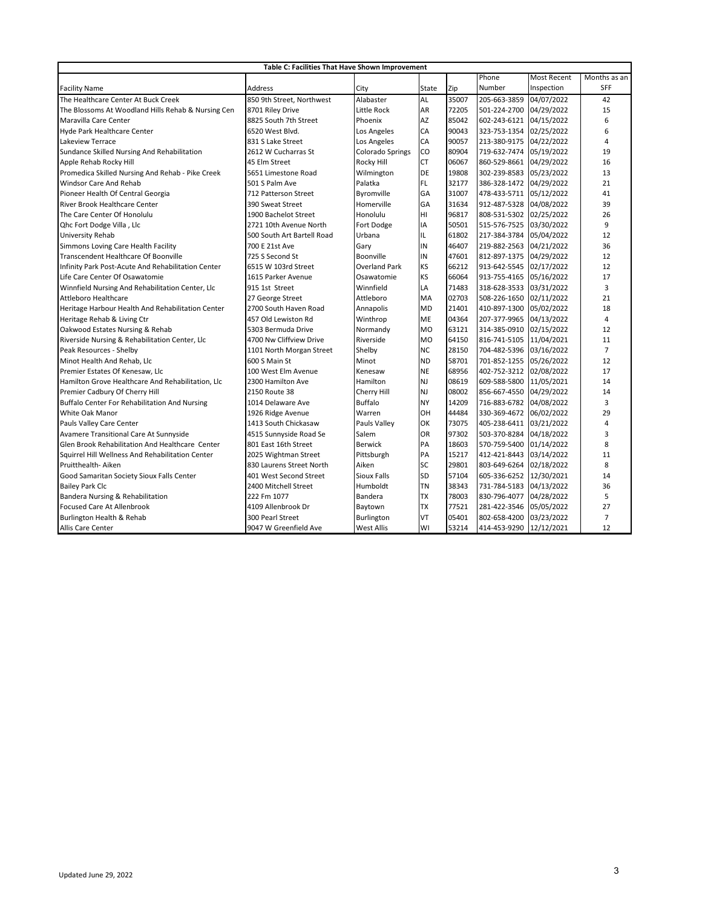|                                                      | Table C: Facilities That Have Shown Improvement |                      |           |       |              |                    |                         |
|------------------------------------------------------|-------------------------------------------------|----------------------|-----------|-------|--------------|--------------------|-------------------------|
|                                                      |                                                 |                      |           |       | Phone        | <b>Most Recent</b> | Months as an            |
| <b>Facility Name</b>                                 | Address                                         | City                 | State     | Zip   | Number       | Inspection         | <b>SFF</b>              |
| The Healthcare Center At Buck Creek                  | 850 9th Street. Northwest                       | Alabaster            | <b>AL</b> | 35007 | 205-663-3859 | 04/07/2022         | 42                      |
| The Blossoms At Woodland Hills Rehab & Nursing Cen   | 8701 Riley Drive                                | Little Rock          | AR        | 72205 | 501-224-2700 | 04/29/2022         | 15                      |
| Maravilla Care Center                                | 8825 South 7th Street                           | Phoenix              | <b>AZ</b> | 85042 | 602-243-6121 | 04/15/2022         | 6                       |
| Hyde Park Healthcare Center                          | 6520 West Blvd.                                 | Los Angeles          | CA        | 90043 | 323-753-1354 | 02/25/2022         | 6                       |
| Lakeview Terrace                                     | 831 S Lake Street                               | Los Angeles          | CA        | 90057 | 213-380-9175 | 04/22/2022         | 4                       |
| Sundance Skilled Nursing And Rehabilitation          | 2612 W Cucharras St                             | Colorado Springs     | CO        | 80904 | 719-632-7474 | 05/19/2022         | 19                      |
| Apple Rehab Rocky Hill                               | 45 Elm Street                                   | Rocky Hill           | <b>CT</b> | 06067 | 860-529-8661 | 04/29/2022         | 16                      |
| Promedica Skilled Nursing And Rehab - Pike Creek     | 5651 Limestone Road                             | Wilmington           | DE        | 19808 | 302-239-8583 | 05/23/2022         | 13                      |
| <b>Windsor Care And Rehab</b>                        | 501 S Palm Ave                                  | Palatka              | FL.       | 32177 | 386-328-1472 | 04/29/2022         | 21                      |
| Pioneer Health Of Central Georgia                    | 712 Patterson Street                            | Byromville           | GA        | 31007 | 478-433-5711 | 05/12/2022         | 41                      |
| River Brook Healthcare Center                        | 390 Sweat Street                                | Homerville           | GA        | 31634 | 912-487-5328 | 04/08/2022         | 39                      |
| The Care Center Of Honolulu                          | 1900 Bachelot Street                            | Honolulu             | HI        | 96817 | 808-531-5302 | 02/25/2022         | 26                      |
| Qhc Fort Dodge Villa, Llc                            | 2721 10th Avenue North                          | Fort Dodge           | IA        | 50501 | 515-576-7525 | 03/30/2022         | 9                       |
| University Rehab                                     | 500 South Art Bartell Road                      | Urbana               | IL        | 61802 | 217-384-3784 | 05/04/2022         | 12                      |
| Simmons Loving Care Health Facility                  | 700 E 21st Ave                                  | Garv                 | IN        | 46407 | 219-882-2563 | 04/21/2022         | 36                      |
| Transcendent Healthcare Of Boonville                 | 725 S Second St                                 | Boonville            | IN        | 47601 | 812-897-1375 | 04/29/2022         | 12                      |
| Infinity Park Post-Acute And Rehabilitation Center   | 6515 W 103rd Street                             | <b>Overland Park</b> | KS        | 66212 | 913-642-5545 | 02/17/2022         | 12                      |
| Life Care Center Of Osawatomie                       | 1615 Parker Avenue                              | Osawatomie           | KS        | 66064 | 913-755-4165 | 05/16/2022         | 17                      |
| Winnfield Nursing And Rehabilitation Center, Llc     | 915 1st Street                                  | Winnfield            | LA        | 71483 | 318-628-3533 | 03/31/2022         | 3                       |
| Attleboro Healthcare                                 | 27 George Street                                | Attleboro            | MA        | 02703 | 508-226-1650 | 02/11/2022         | 21                      |
| Heritage Harbour Health And Rehabilitation Center    | 2700 South Haven Road                           | Annapolis            | <b>MD</b> | 21401 | 410-897-1300 | 05/02/2022         | 18                      |
| Heritage Rehab & Living Ctr                          | 457 Old Lewiston Rd                             | Winthrop             | <b>ME</b> | 04364 | 207-377-9965 | 04/13/2022         | $\overline{4}$          |
| Oakwood Estates Nursing & Rehab                      | 5303 Bermuda Drive                              | Normandy             | <b>MO</b> | 63121 | 314-385-0910 | 02/15/2022         | 12                      |
| Riverside Nursing & Rehabilitation Center, Llc       | 4700 Nw Cliffview Drive                         | Riverside            | <b>MO</b> | 64150 | 816-741-5105 | 11/04/2021         | 11                      |
| Peak Resources - Shelby                              | 1101 North Morgan Street                        | Shelby               | <b>NC</b> | 28150 | 704-482-5396 | 03/16/2022         | $\overline{7}$          |
| Minot Health And Rehab, Llc                          | 600 S Main St                                   | Minot                | <b>ND</b> | 58701 | 701-852-1255 | 05/26/2022         | 12                      |
| Premier Estates Of Kenesaw, Llc                      | 100 West Elm Avenue                             | Kenesaw              | <b>NE</b> | 68956 | 402-752-3212 | 02/08/2022         | 17                      |
| Hamilton Grove Healthcare And Rehabilitation, Llc    | 2300 Hamilton Ave                               | Hamilton             | <b>NJ</b> | 08619 | 609-588-5800 | 11/05/2021         | 14                      |
| Premier Cadbury Of Cherry Hill                       | 2150 Route 38                                   | Cherry Hill          | <b>NJ</b> | 08002 | 856-667-4550 | 04/29/2022         | 14                      |
| <b>Buffalo Center For Rehabilitation And Nursing</b> | 1014 Delaware Ave                               | <b>Buffalo</b>       | <b>NY</b> | 14209 | 716-883-6782 | 04/08/2022         | 3                       |
| White Oak Manor                                      | 1926 Ridge Avenue                               | Warren               | OH        | 44484 | 330-369-4672 | 06/02/2022         | 29                      |
| Pauls Valley Care Center                             | 1413 South Chickasaw                            | Pauls Valley         | OK        | 73075 | 405-238-6411 | 03/21/2022         | $\overline{\mathbf{4}}$ |
| Avamere Transitional Care At Sunnyside               | 4515 Sunnyside Road Se                          | Salem                | OR        | 97302 | 503-370-8284 | 04/18/2022         | 3                       |
| Glen Brook Rehabilitation And Healthcare Center      | 801 East 16th Street                            | <b>Berwick</b>       | PA        | 18603 | 570-759-5400 | 01/14/2022         | 8                       |
| Squirrel Hill Wellness And Rehabilitation Center     | 2025 Wightman Street                            | Pittsburgh           | PA        | 15217 | 412-421-8443 | 03/14/2022         | 11                      |
| Pruitthealth-Aiken                                   | 830 Laurens Street North                        | Aiken                | <b>SC</b> | 29801 | 803-649-6264 | 02/18/2022         | 8                       |
| Good Samaritan Society Sioux Falls Center            | 401 West Second Street                          | Sioux Falls          | SD        | 57104 | 605-336-6252 | 12/30/2021         | 14                      |
| <b>Bailey Park Clc</b>                               | 2400 Mitchell Street                            | Humboldt             | <b>TN</b> | 38343 | 731-784-5183 | 04/13/2022         | 36                      |
| Bandera Nursing & Rehabilitation                     | 222 Fm 1077                                     | Bandera              | <b>TX</b> | 78003 | 830-796-4077 | 04/28/2022         | 5                       |
| <b>Focused Care At Allenbrook</b>                    | 4109 Allenbrook Dr                              | Baytown              | <b>TX</b> | 77521 | 281-422-3546 | 05/05/2022         | 27                      |
| Burlington Health & Rehab                            | 300 Pearl Street                                | Burlington           | VT        | 05401 | 802-658-4200 | 03/23/2022         | $\overline{7}$          |
| Allis Care Center                                    | 9047 W Greenfield Ave                           | <b>West Allis</b>    | WI        | 53214 | 414-453-9290 | 12/12/2021         | 12                      |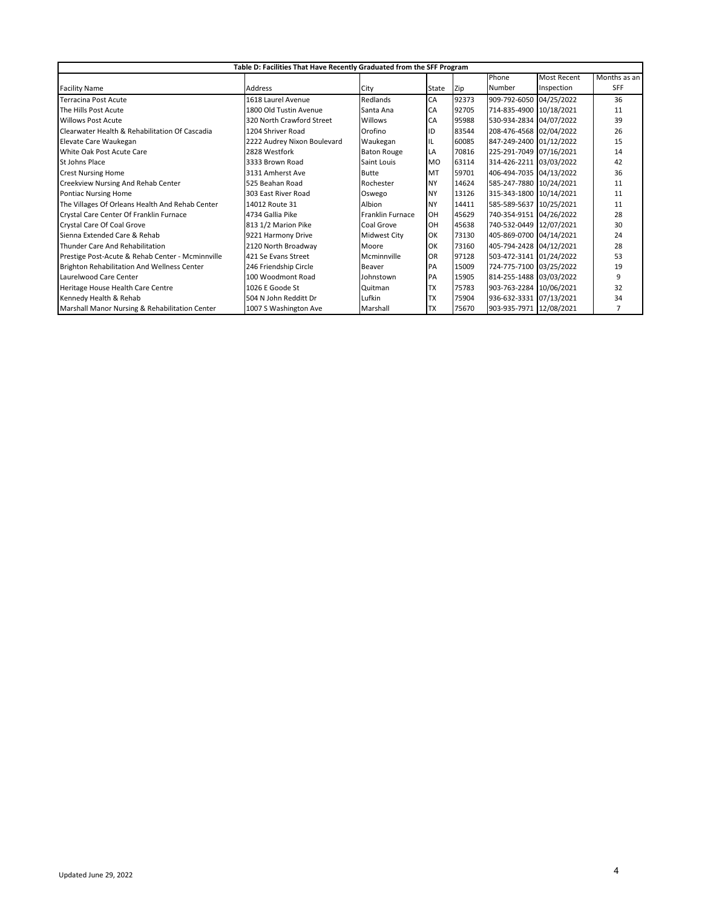|                                                    | Table D: Facilities That Have Recently Graduated from the SFF Program |                         |           |       |                         |                    |              |
|----------------------------------------------------|-----------------------------------------------------------------------|-------------------------|-----------|-------|-------------------------|--------------------|--------------|
|                                                    |                                                                       |                         |           |       | Phone                   | <b>Most Recent</b> | Months as an |
| <b>Facility Name</b>                               | Address                                                               | City                    | State     | Zip   | Number                  | Inspection         | SFF          |
| <b>Terracina Post Acute</b>                        | 1618 Laurel Avenue                                                    | Redlands                | CA        | 92373 | 909-792-6050 04/25/2022 |                    | 36           |
| The Hills Post Acute                               | 1800 Old Tustin Avenue                                                | Santa Ana               | CA        | 92705 | 714-835-4900 10/18/2021 |                    | 11           |
| <b>Willows Post Acute</b>                          | 320 North Crawford Street                                             | Willows                 | CA        | 95988 | 530-934-2834 04/07/2022 |                    | 39           |
| Clearwater Health & Rehabilitation Of Cascadia     | 1204 Shriver Road                                                     | Orofino                 | ID        | 83544 | 208-476-4568 02/04/2022 |                    | 26           |
| Elevate Care Waukegan                              | 2222 Audrey Nixon Boulevard                                           | Waukegan                | IL        | 60085 | 847-249-2400 01/12/2022 |                    | 15           |
| White Oak Post Acute Care                          | 2828 Westfork                                                         | <b>Baton Rouge</b>      | LA        | 70816 | 225-291-7049 07/16/2021 |                    | 14           |
| St Johns Place                                     | 3333 Brown Road                                                       | Saint Louis             | <b>MO</b> | 63114 | 314-426-2211 03/03/2022 |                    | 42           |
| <b>Crest Nursing Home</b>                          | 3131 Amherst Ave                                                      | <b>Butte</b>            | MT        | 59701 | 406-494-7035 04/13/2022 |                    | 36           |
| Creekview Nursing And Rehab Center                 | 525 Beahan Road                                                       | Rochester               | <b>NY</b> | 14624 | 585-247-7880 10/24/2021 |                    | 11           |
| <b>Pontiac Nursing Home</b>                        | 303 East River Road                                                   | Oswego                  | <b>NY</b> | 13126 | 315-343-1800 10/14/2021 |                    | 11           |
| The Villages Of Orleans Health And Rehab Center    | 14012 Route 31                                                        | Albion                  | <b>NY</b> | 14411 | 585-589-5637 10/25/2021 |                    | 11           |
| Crystal Care Center Of Franklin Furnace            | 4734 Gallia Pike                                                      | <b>Franklin Furnace</b> | OH        | 45629 | 740-354-9151 04/26/2022 |                    | 28           |
| Crystal Care Of Coal Grove                         | 813 1/2 Marion Pike                                                   | Coal Grove              | OH        | 45638 | 740-532-0449 12/07/2021 |                    | 30           |
| Sienna Extended Care & Rehab                       | 9221 Harmony Drive                                                    | <b>Midwest City</b>     | OK        | 73130 | 405-869-0700 04/14/2021 |                    | 24           |
| Thunder Care And Rehabilitation                    | 2120 North Broadway                                                   | Moore                   | OK        | 73160 | 405-794-2428 04/12/2021 |                    | 28           |
| Prestige Post-Acute & Rehab Center - Mcminnville   | 421 Se Evans Street                                                   | Mcminnville             | OR        | 97128 | 503-472-3141 01/24/2022 |                    | 53           |
| <b>Brighton Rehabilitation And Wellness Center</b> | 246 Friendship Circle                                                 | Beaver                  | PA        | 15009 | 724-775-7100 03/25/2022 |                    | 19           |
| Laurelwood Care Center                             | 100 Woodmont Road                                                     | Johnstown               | PA        | 15905 | 814-255-1488 03/03/2022 |                    | 9            |
| Heritage House Health Care Centre                  | 1026 E Goode St                                                       | Quitman                 | <b>TX</b> | 75783 | 903-763-2284 10/06/2021 |                    | 32           |
| Kennedy Health & Rehab                             | 504 N John Redditt Dr                                                 | Lufkin                  | <b>TX</b> | 75904 | 936-632-3331 07/13/2021 |                    | 34           |
| Marshall Manor Nursing & Rehabilitation Center     | 1007 S Washington Ave                                                 | Marshall                | <b>TX</b> | 75670 | 903-935-7971 12/08/2021 |                    | 7            |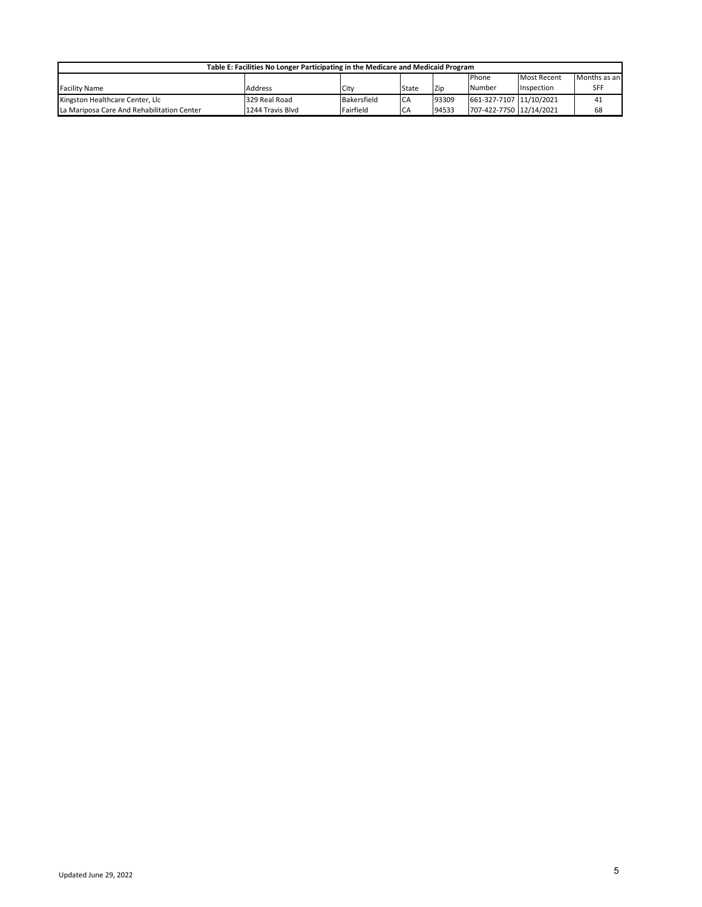| Table E: Facilities No Longer Participating in the Medicare and Medicaid Program |                  |             |           |       |                         |                    |              |  |  |
|----------------------------------------------------------------------------------|------------------|-------------|-----------|-------|-------------------------|--------------------|--------------|--|--|
|                                                                                  |                  |             |           |       | Phone                   | <b>Most Recent</b> | Months as an |  |  |
| <b>Facility Name</b>                                                             | Address          | <b>City</b> | State     | Zip   | Number                  | Inspection         | SFF          |  |  |
| Kingston Healthcare Center, Llc                                                  | 329 Real Road    | Bakersfield | CA        | 93309 | 661-327-7107 11/10/2021 |                    | 41           |  |  |
| La Mariposa Care And Rehabilitation Center                                       | 1244 Travis Blyd | Fairfield   | <b>CA</b> | 94533 | 707-422-7750 12/14/2021 |                    | 68           |  |  |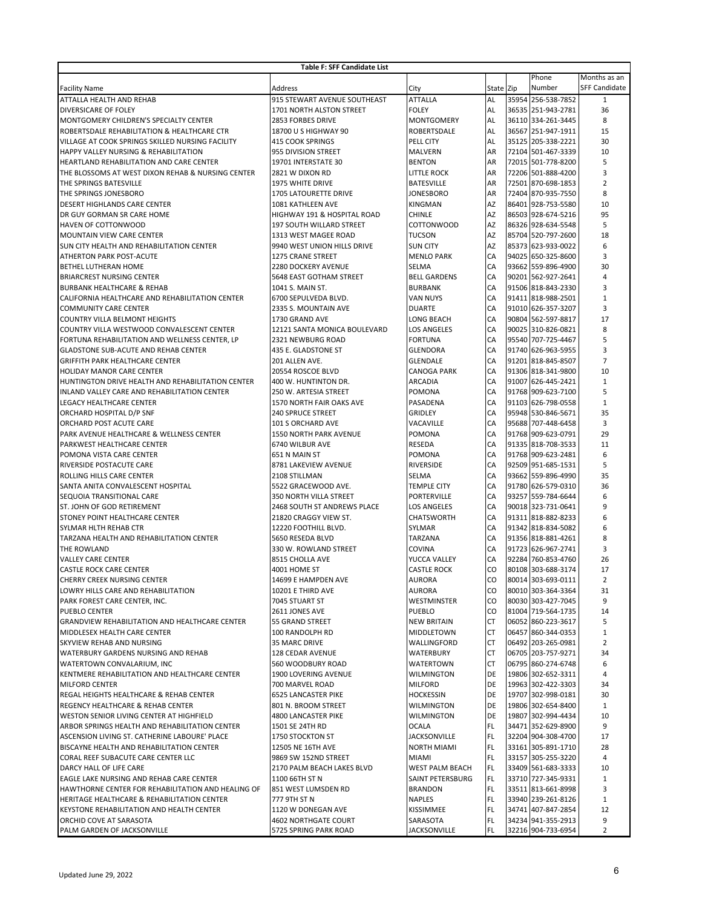|                                                                                       | Table F: SFF Candidate List                             |                                     |                    |              |                                          |                                      |
|---------------------------------------------------------------------------------------|---------------------------------------------------------|-------------------------------------|--------------------|--------------|------------------------------------------|--------------------------------------|
|                                                                                       |                                                         |                                     |                    |              | Phone<br>Number                          | Months as an<br><b>SFF Candidate</b> |
| <b>Facility Name</b><br>ATTALLA HEALTH AND REHAB                                      | Address<br>915 STEWART AVENUE SOUTHEAST                 | City<br><b>ATTALLA</b>              | State<br><b>AL</b> | Zip<br>35954 | 256-538-7852                             | $\mathbf{1}$                         |
| DIVERSICARE OF FOLEY                                                                  | 1701 NORTH ALSTON STREET                                | <b>FOLEY</b>                        | <b>AL</b>          |              | 36535 251-943-2781                       | 36                                   |
| MONTGOMERY CHILDREN'S SPECIALTY CENTER                                                | 2853 FORBES DRIVE                                       | MONTGOMERY                          | AL                 |              | 36110 334-261-3445                       | 8                                    |
| ROBERTSDALE REHABILITATION & HEALTHCARE CTR                                           | 18700 U S HIGHWAY 90                                    | ROBERTSDALE                         | <b>AL</b>          |              | 36567 251-947-1911                       | 15                                   |
| VILLAGE AT COOK SPRINGS SKILLED NURSING FACILITY                                      | <b>415 COOK SPRINGS</b>                                 | PELL CITY                           | AL                 |              | 35125 205-338-2221                       | 30                                   |
| <b>HAPPY VALLEY NURSING &amp; REHABILITATION</b>                                      | 955 DIVISION STREET                                     | MALVERN                             | AR                 |              | 72104 501-467-3339                       | 10                                   |
| <b>HEARTLAND REHABILITATION AND CARE CENTER</b>                                       | 19701 INTERSTATE 30                                     | <b>BENTON</b>                       | AR                 |              | 72015 501-778-8200                       | 5                                    |
| THE BLOSSOMS AT WEST DIXON REHAB & NURSING CENTER                                     | 2821 W DIXON RD                                         | <b>LITTLE ROCK</b>                  | AR                 |              | 72206 501-888-4200                       | 3                                    |
| THE SPRINGS BATESVILLE                                                                | 1975 WHITE DRIVE                                        | <b>BATESVILLE</b>                   | AR                 |              | 72501 870-698-1853                       | 2                                    |
| THE SPRINGS JONESBORO                                                                 | <b>1705 LATOURETTE DRIVE</b>                            | JONESBORO                           | AR                 |              | 72404 870-935-7550                       | 8                                    |
| <b>DESERT HIGHLANDS CARE CENTER</b>                                                   | 1081 KATHLEEN AVE                                       | <b>KINGMAN</b><br><b>CHINLE</b>     | AZ<br>AZ           |              | 86401 928-753-5580                       | 10<br>95                             |
| DR GUY GORMAN SR CARE HOME<br>HAVEN OF COTTONWOOD                                     | HIGHWAY 191 & HOSPITAL ROAD<br>197 SOUTH WILLARD STREET | COTTONWOOD                          | AZ                 |              | 86503 928-674-5216<br>86326 928-634-5548 | 5                                    |
| <b>MOUNTAIN VIEW CARE CENTER</b>                                                      | 1313 WEST MAGEE ROAD                                    | <b>TUCSON</b>                       | AZ                 |              | 85704 520-797-2600                       | 18                                   |
| SUN CITY HEALTH AND REHABILITATION CENTER                                             | 9940 WEST UNION HILLS DRIVE                             | <b>SUN CITY</b>                     | AZ                 | 85373        | 623-933-0022                             | 6                                    |
| ATHERTON PARK POST-ACUTE                                                              | 1275 CRANE STREET                                       | <b>MENLO PARK</b>                   | CA                 |              | 94025 650-325-8600                       | 3                                    |
| <b>BETHEL LUTHERAN HOME</b>                                                           | 2280 DOCKERY AVENUE                                     | <b>SELMA</b>                        | CA                 |              | 93662 559-896-4900                       | 30                                   |
| <b>BRIARCREST NURSING CENTER</b>                                                      | 5648 EAST GOTHAM STREET                                 | <b>BELL GARDENS</b>                 | CA                 |              | 90201 562-927-2641                       | $\overline{4}$                       |
| <b>BURBANK HEALTHCARE &amp; REHAB</b>                                                 | 1041 S. MAIN ST.                                        | <b>BURBANK</b>                      | CA                 |              | 91506 818-843-2330                       | 3                                    |
| CALIFORNIA HEALTHCARE AND REHABILITATION CENTER                                       | 6700 SEPULVEDA BLVD.                                    | <b>VAN NUYS</b>                     | CA                 |              | 91411 818-988-2501                       | $\mathbf{1}$                         |
| <b>COMMUNITY CARE CENTER</b>                                                          | 2335 S. MOUNTAIN AVE                                    | <b>DUARTE</b>                       | CA                 |              | 91010 626-357-3207                       | 3                                    |
| <b>COUNTRY VILLA BELMONT HEIGHTS</b>                                                  | 1730 GRAND AVE                                          | LONG BEACH                          | CA                 |              | 90804 562-597-8817                       | 17                                   |
| COUNTRY VILLA WESTWOOD CONVALESCENT CENTER                                            | 12121 SANTA MONICA BOULEVARD                            | <b>LOS ANGELES</b>                  | CA                 |              | 90025 310-826-0821                       | 8                                    |
| FORTUNA REHABILITATION AND WELLNESS CENTER, LP                                        | 2321 NEWBURG ROAD                                       | <b>FORTUNA</b>                      | CA<br>CA           |              | 95540 707-725-4467                       | 5                                    |
| <b>GLADSTONE SUB-ACUTE AND REHAB CENTER</b><br><b>GRIFFITH PARK HEALTHCARE CENTER</b> | 435 E. GLADSTONE ST<br>201 ALLEN AVE.                   | <b>GLENDORA</b><br><b>GLENDALE</b>  | CA                 |              | 91740 626-963-5955<br>91201 818-845-8507 | 3<br>$\overline{7}$                  |
| <b>HOLIDAY MANOR CARE CENTER</b>                                                      | 20554 ROSCOE BLVD                                       | CANOGA PARK                         | CA                 |              | 91306 818-341-9800                       | 10                                   |
| HUNTINGTON DRIVE HEALTH AND REHABILITATION CENTER                                     | 400 W. HUNTINTON DR.                                    | ARCADIA                             | CA                 | 91007        | 626-445-2421                             | $\mathbf{1}$                         |
| INLAND VALLEY CARE AND REHABILITATION CENTER                                          | 250 W. ARTESIA STREET                                   | <b>POMONA</b>                       | CA                 |              | 91768 909-623-7100                       | 5                                    |
| LEGACY HEALTHCARE CENTER                                                              | 1570 NORTH FAIR OAKS AVE                                | PASADENA                            | CA                 |              | 91103 626-798-0558                       | $\mathbf{1}$                         |
| ORCHARD HOSPITAL D/P SNF                                                              | <b>240 SPRUCE STREET</b>                                | <b>GRIDLEY</b>                      | CA                 |              | 95948 530-846-5671                       | 35                                   |
| ORCHARD POST ACUTE CARE                                                               | 101 S ORCHARD AVE                                       | VACAVILLE                           | CA                 |              | 95688 707-448-6458                       | 3                                    |
| PARK AVENUE HEALTHCARE & WELLNESS CENTER                                              | <b>1550 NORTH PARK AVENUE</b>                           | <b>POMONA</b>                       | CA                 |              | 91768 909-623-0791                       | 29                                   |
| PARKWEST HEALTHCARE CENTER                                                            | 6740 WILBUR AVE                                         | RESEDA                              | CA                 |              | 91335 818-708-3533                       | 11                                   |
| POMONA VISTA CARE CENTER                                                              | 651 N MAIN ST                                           | <b>POMONA</b>                       | CA                 |              | 91768 909-623-2481                       | 6                                    |
| RIVERSIDE POSTACUTE CARE                                                              | 8781 LAKEVIEW AVENUE                                    | RIVERSIDE                           | CA                 |              | 92509 951-685-1531                       | 5                                    |
| ROLLING HILLS CARE CENTER                                                             | 2108 STILLMAN                                           | SELMA                               | CA<br>CA           |              | 93662 559-896-4990                       | 35<br>36                             |
| SANTA ANITA CONVALESCENT HOSPITAL<br>SEQUOIA TRANSITIONAL CARE                        | 5522 GRACEWOOD AVE.<br>350 NORTH VILLA STREET           | <b>TEMPLE CITY</b><br>PORTERVILLE   | CA                 |              | 91780 626-579-0310<br>93257 559-784-6644 | 6                                    |
| ST. JOHN OF GOD RETIREMENT                                                            | 2468 SOUTH ST ANDREWS PLACE                             | <b>LOS ANGELES</b>                  | CA                 |              | 90018 323-731-0641                       | 9                                    |
| STONEY POINT HEALTHCARE CENTER                                                        | 21820 CRAGGY VIEW ST.                                   | <b>CHATSWORTH</b>                   | CA                 |              | 91311 818-882-8233                       | 6                                    |
| SYLMAR HLTH REHAB CTR                                                                 | 12220 FOOTHILL BLVD.                                    | SYLMAR                              | CA                 |              | 91342 818-834-5082                       | 6                                    |
| TARZANA HEALTH AND REHABILITATION CENTER                                              | 5650 RESEDA BLVD                                        | <b>TARZANA</b>                      | CA                 |              | 91356 818-881-4261                       | 8                                    |
| THE ROWLAND                                                                           | 330 W. ROWLAND STREET                                   | COVINA                              | CA                 |              | 91723 626-967-2741                       | 3                                    |
| <b>VALLEY CARE CENTER</b>                                                             | 8515 CHOLLA AVE                                         | YUCCA VALLEY                        | CA                 | 92284        | 760-853-4760                             | 26                                   |
| CASTLE ROCK CARE CENTER                                                               | 4001 HOME ST                                            | <b>CASTLE ROCK</b>                  | CO                 | 80108        | 303-688-3174                             | 17                                   |
| CHERRY CREEK NURSING CENTER                                                           | 14699 E HAMPDEN AVE                                     | AURORA                              | CO                 |              | 80014 303-693-0111                       | 2                                    |
| LOWRY HILLS CARE AND REHABILITATION                                                   | 10201 E THIRD AVE                                       | <b>AURORA</b>                       | CO                 |              | 80010 303-364-3364                       | 31                                   |
| PARK FOREST CARE CENTER, INC.                                                         | 7045 STUART ST                                          | WESTMINSTER                         | CO                 |              | 80030 303-427-7045                       | 9                                    |
| <b>PUEBLO CENTER</b><br><b>GRANDVIEW REHABILITATION AND HEALTHCARE CENTER</b>         | 2611 JONES AVE<br>55 GRAND STREET                       | <b>PUEBLO</b><br><b>NEW BRITAIN</b> | CO<br><b>CT</b>    |              | 81004 719-564-1735<br>06052 860-223-3617 | 14<br>5                              |
| MIDDLESEX HEALTH CARE CENTER                                                          | 100 RANDOLPH RD                                         | MIDDLETOWN                          | <b>CT</b>          |              | 06457 860-344-0353                       | $\mathbf{1}$                         |
| SKYVIEW REHAB AND NURSING                                                             | 35 MARC DRIVE                                           | WALLINGFORD                         | <b>CT</b>          |              | 06492 203-265-0981                       | $\overline{2}$                       |
| WATERBURY GARDENS NURSING AND REHAB                                                   | 128 CEDAR AVENUE                                        | WATERBURY                           | <b>CT</b>          |              | 06705 203-757-9271                       | 34                                   |
| WATERTOWN CONVALARIUM, INC                                                            | 560 WOODBURY ROAD                                       | WATERTOWN                           | CT                 |              | 06795 860-274-6748                       | 6                                    |
| KENTMERE REHABILITATION AND HEALTHCARE CENTER                                         | 1900 LOVERING AVENUE                                    | <b>WILMINGTON</b>                   | DE                 |              | 19806 302-652-3311                       | 4                                    |
| <b>MILFORD CENTER</b>                                                                 | 700 MARVEL ROAD                                         | <b>MILFORD</b>                      | DE                 |              | 19963 302-422-3303                       | 34                                   |
| REGAL HEIGHTS HEALTHCARE & REHAB CENTER                                               | <b>6525 LANCASTER PIKE</b>                              | <b>HOCKESSIN</b>                    | DE                 |              | 19707 302-998-0181                       | 30                                   |
| REGENCY HEALTHCARE & REHAB CENTER                                                     | 801 N. BROOM STREET                                     | WILMINGTON                          | DE                 |              | 19806 302-654-8400                       | $\mathbf{1}$                         |
| WESTON SENIOR LIVING CENTER AT HIGHFIELD                                              | 4800 LANCASTER PIKE                                     | WILMINGTON                          | DE                 |              | 19807 302-994-4434                       | 10                                   |
| ARBOR SPRINGS HEALTH AND REHABILITATION CENTER                                        | 1501 SE 24TH RD                                         | <b>OCALA</b>                        | FL                 |              | 34471 352-629-8900                       | 9                                    |
| ASCENSION LIVING ST. CATHERINE LABOURE' PLACE                                         | 1750 STOCKTON ST                                        | <b>JACKSONVILLE</b>                 | FL<br>FL           |              | 32204 904-308-4700                       | 17                                   |
| BISCAYNE HEALTH AND REHABILITATION CENTER<br>CORAL REEF SUBACUTE CARE CENTER LLC      | 12505 NE 16TH AVE<br>9869 SW 152ND STREET               | <b>NORTH MIAMI</b><br><b>MIAMI</b>  | FL                 |              | 33161 305-891-1710<br>33157 305-255-3220 | 28<br>4                              |
| DARCY HALL OF LIFE CARE                                                               | 2170 PALM BEACH LAKES BLVD                              | WEST PALM BEACH                     | FL                 |              | 33409 561-683-3333                       | 10                                   |
| EAGLE LAKE NURSING AND REHAB CARE CENTER                                              | 1100 66TH ST N                                          | SAINT PETERSBURG                    | FL.                |              | 33710 727-345-9331                       | $\mathbf{1}$                         |
| HAWTHORNE CENTER FOR REHABILITATION AND HEALING OF                                    | 851 WEST LUMSDEN RD                                     | <b>BRANDON</b>                      | FL                 |              | 33511 813-661-8998                       | 3                                    |
| HERITAGE HEALTHCARE & REHABILITATION CENTER                                           | 777 9TH ST N                                            | <b>NAPLES</b>                       | FL                 |              | 33940 239-261-8126                       | $\mathbf{1}$                         |
| KEYSTONE REHABILITATION AND HEALTH CENTER                                             | 1120 W DONEGAN AVE                                      | KISSIMMEE                           | FL                 |              | 34741 407-847-2854                       | 12                                   |
| ORCHID COVE AT SARASOTA                                                               | 4602 NORTHGATE COURT                                    | SARASOTA                            | FL                 |              | 34234 941-355-2913                       | 9                                    |
| PALM GARDEN OF JACKSONVILLE                                                           | 5725 SPRING PARK ROAD                                   | <b>JACKSONVILLE</b>                 | FL.                |              | 32216 904-733-6954                       | $\overline{2}$                       |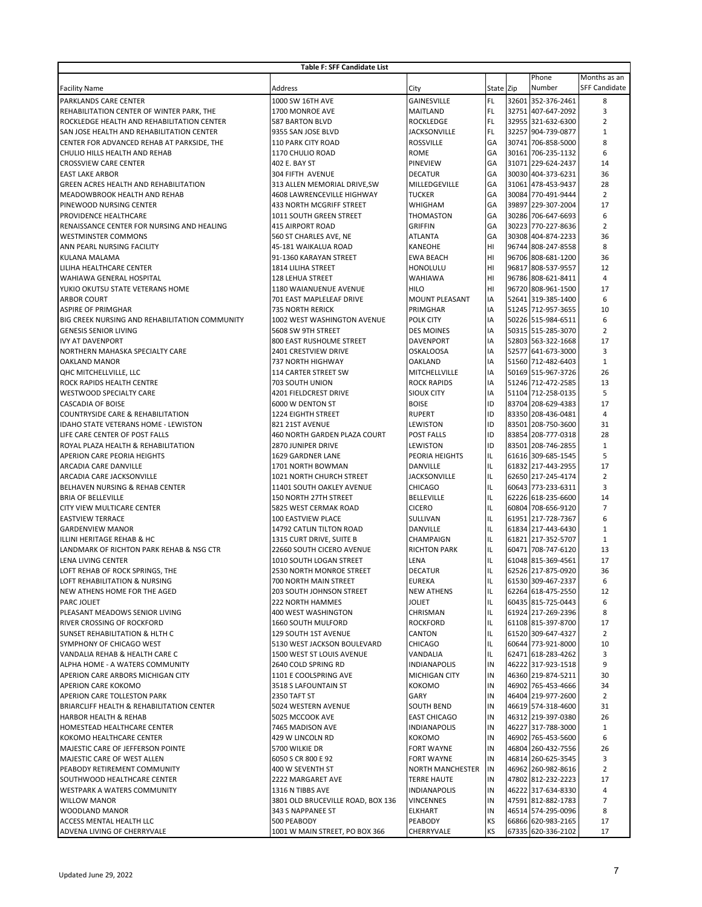|                                                                          | Table F: SFF Candidate List                    |                                            |                  |       |                                          |                                      |
|--------------------------------------------------------------------------|------------------------------------------------|--------------------------------------------|------------------|-------|------------------------------------------|--------------------------------------|
|                                                                          |                                                |                                            |                  |       | Phone<br>Number                          | Months as an<br><b>SFF Candidate</b> |
| Facility Name                                                            | Address                                        | City                                       | State            | Zip   |                                          |                                      |
| PARKLANDS CARE CENTER<br>REHABILITATION CENTER OF WINTER PARK, THE       | 1000 SW 16TH AVE<br>1700 MONROE AVE            | <b>GAINESVILLE</b><br><b>MAITLAND</b>      | FL.<br><b>FL</b> | 32601 | 352-376-2461<br>32751 407-647-2092       | 8<br>3                               |
| ROCKLEDGE HEALTH AND REHABILITATION CENTER                               | <b>587 BARTON BLVD</b>                         | <b>ROCKLEDGE</b>                           | <b>FL</b>        |       | 32955 321-632-6300                       | $\overline{2}$                       |
| SAN JOSE HEALTH AND REHABILITATION CENTER                                | 9355 SAN JOSE BLVD                             | <b>JACKSONVILLE</b>                        | <b>FL</b>        |       | 32257 904-739-0877                       | $\mathbf{1}$                         |
| CENTER FOR ADVANCED REHAB AT PARKSIDE, THE                               | <b>110 PARK CITY ROAD</b>                      | <b>ROSSVILLE</b>                           | GA               |       | 30741 706-858-5000                       | 8                                    |
| CHULIO HILLS HEALTH AND REHAB                                            | 1170 CHULIO ROAD                               | <b>ROME</b>                                | GA               |       | 30161 706-235-1132                       | 6                                    |
| <b>CROSSVIEW CARE CENTER</b>                                             | 402 E. BAY ST                                  | PINEVIEW                                   | GA               | 31071 | 229-624-2437                             | 14                                   |
| <b>EAST LAKE ARBOR</b>                                                   | 304 FIFTH AVENUE                               | <b>DECATUR</b>                             | GA               |       | 30030 404-373-6231                       | 36                                   |
| <b>GREEN ACRES HEALTH AND REHABILITATION</b>                             | 313 ALLEN MEMORIAL DRIVE, SW                   | MILLEDGEVILLE                              | GA               | 31061 | 478-453-9437                             | 28                                   |
| MEADOWBROOK HEALTH AND REHAB                                             | 4608 LAWRENCEVILLE HIGHWAY                     | <b>TUCKER</b>                              | GA               |       | 30084 770-491-9444                       | $\overline{2}$                       |
| PINEWOOD NURSING CENTER                                                  | 433 NORTH MCGRIFF STREET                       | WHIGHAM                                    | GA               | 39897 | 229-307-2004                             | 17                                   |
| PROVIDENCE HEALTHCARE                                                    | 1011 SOUTH GREEN STREET                        | <b>THOMASTON</b>                           | GA               |       | 30286 706-647-6693                       | 6                                    |
| RENAISSANCE CENTER FOR NURSING AND HEALING<br><b>WESTMINSTER COMMONS</b> | <b>415 AIRPORT ROAD</b>                        | <b>GRIFFIN</b><br><b>ATLANTA</b>           | GA<br>GA         | 30223 | 770-227-8636                             | $\overline{2}$<br>36                 |
| ANN PEARL NURSING FACILITY                                               | 560 ST CHARLES AVE, NE<br>45-181 WAIKALUA ROAD | <b>KANEOHE</b>                             | HI               | 96744 | 30308 404-874-2233<br>808-247-8558       | 8                                    |
| KULANA MALAMA                                                            | 91-1360 KARAYAN STREET                         | <b>EWA BEACH</b>                           | HI               |       | 96706 808-681-1200                       | 36                                   |
| LILIHA HEALTHCARE CENTER                                                 | 1814 LILIHA STREET                             | <b>HONOLULU</b>                            | HI               | 96817 | 808-537-9557                             | 12                                   |
| WAHIAWA GENERAL HOSPITAL                                                 | <b>128 LEHUA STREET</b>                        | WAHIAWA                                    | HI               |       | 96786 808-621-8411                       | $\overline{4}$                       |
| YUKIO OKUTSU STATE VETERANS HOME                                         | 1180 WAIANUENUE AVENUE                         | <b>HILO</b>                                | HI               |       | 96720 808-961-1500                       | 17                                   |
| <b>ARBOR COURT</b>                                                       | 701 EAST MAPLELEAF DRIVE                       | MOUNT PLEASANT                             | IA               |       | 52641 319-385-1400                       | 6                                    |
| ASPIRE OF PRIMGHAR                                                       | <b>735 NORTH RERICK</b>                        | PRIMGHAR                                   | IA               |       | 51245 712-957-3655                       | 10                                   |
| BIG CREEK NURSING AND REHABILITATION COMMUNITY                           | 1002 WEST WASHINGTON AVENUE                    | POLK CITY                                  | IA               |       | 50226 515-984-6511                       | 6                                    |
| <b>GENESIS SENIOR LIVING</b>                                             | 5608 SW 9TH STREET                             | <b>DES MOINES</b>                          | IA               |       | 50315 515-285-3070                       | $\overline{2}$                       |
| <b>IVY AT DAVENPORT</b>                                                  | 800 EAST RUSHOLME STREET                       | <b>DAVENPORT</b>                           | IA               |       | 52803 563-322-1668                       | 17                                   |
| NORTHERN MAHASKA SPECIALTY CARE                                          | 2401 CRESTVIEW DRIVE                           | <b>OSKALOOSA</b>                           | IA               |       | 52577 641-673-3000                       | 3                                    |
| OAKLAND MANOR                                                            | 737 NORTH HIGHWAY                              | OAKLAND                                    | IA               |       | 51560 712-482-6403                       | $\mathbf{1}$                         |
| QHC MITCHELLVILLE, LLC<br>ROCK RAPIDS HEALTH CENTRE                      | 114 CARTER STREET SW<br>703 SOUTH UNION        | <b>MITCHELLVILLE</b><br><b>ROCK RAPIDS</b> | IA<br>IA         |       | 50169 515-967-3726<br>51246 712-472-2585 | 26<br>13                             |
| <b>WESTWOOD SPECIALTY CARE</b>                                           | 4201 FIELDCREST DRIVE                          | <b>SIOUX CITY</b>                          | IA               |       | 51104 712-258-0135                       | 5                                    |
| <b>CASCADIA OF BOISE</b>                                                 | 6000 W DENTON ST                               | <b>BOISE</b>                               | ID               | 83704 | 208-629-4383                             | 17                                   |
| <b>COUNTRYSIDE CARE &amp; REHABILITATION</b>                             | <b>1224 EIGHTH STREET</b>                      | <b>RUPERT</b>                              | ID               |       | 83350 208-436-0481                       | $\overline{4}$                       |
| IDAHO STATE VETERANS HOME - LEWISTON                                     | 821 21ST AVENUE                                | LEWISTON                                   | ID               | 83501 | 208-750-3600                             | 31                                   |
| LIFE CARE CENTER OF POST FALLS                                           | 460 NORTH GARDEN PLAZA COURT                   | <b>POST FALLS</b>                          | ID               | 83854 | 208-777-0318                             | 28                                   |
| ROYAL PLAZA HEALTH & REHABILITATION                                      | 2870 JUNIPER DRIVE                             | LEWISTON                                   | ID               | 83501 | 208-746-2855                             | $\mathbf{1}$                         |
| <b>APERION CARE PEORIA HEIGHTS</b>                                       | 1629 GARDNER LANE                              | PEORIA HEIGHTS                             | IL               |       | 61616 309-685-1545                       | 5                                    |
| <b>ARCADIA CARE DANVILLE</b>                                             | 1701 NORTH BOWMAN                              | DANVILLE                                   | IL               |       | 61832 217-443-2955                       | 17                                   |
| ARCADIA CARE JACKSONVILLE                                                | 1021 NORTH CHURCH STREET                       | <b>JACKSONVILLE</b>                        | IL               |       | 62650 217-245-4174                       | $\overline{2}$                       |
| BELHAVEN NURSING & REHAB CENTER                                          | 11401 SOUTH OAKLEY AVENUE                      | <b>CHICAGO</b>                             | IL               | 60643 | 773-233-6311                             | 3                                    |
| <b>BRIA OF BELLEVILLE</b><br>CITY VIEW MULTICARE CENTER                  | 150 NORTH 27TH STREET<br>5825 WEST CERMAK ROAD | <b>BELLEVILLE</b><br><b>CICERO</b>         | IL<br>IL         |       | 62226 618-235-6600<br>60804 708-656-9120 | 14<br>$\overline{7}$                 |
| <b>EASTVIEW TERRACE</b>                                                  | 100 EASTVIEW PLACE                             | SULLIVAN                                   | IL               |       | 61951 217-728-7367                       | 6                                    |
| <b>GARDENVIEW MANOR</b>                                                  | <b>14792 CATLIN TILTON ROAD</b>                | DANVILLE                                   | IL               |       | 61834 217-443-6430                       | $\mathbf{1}$                         |
| ILLINI HERITAGE REHAB & HC                                               | 1315 CURT DRIVE, SUITE B                       | CHAMPAIGN                                  | IL               |       | 61821 217-352-5707                       | $\mathbf{1}$                         |
| LANDMARK OF RICHTON PARK REHAB & NSG CTR                                 | 22660 SOUTH CICERO AVENUE                      | <b>RICHTON PARK</b>                        | IL               |       | 60471 708-747-6120                       | 13                                   |
| LENA LIVING CENTER                                                       | 1010 SOUTH LOGAN STREET                        | LENA                                       | IL               |       | 61048 815-369-4561                       | 17                                   |
| LOFT REHAB OF ROCK SPRINGS, THE                                          | 2530 NORTH MONROE STREET                       | <b>DECATUR</b>                             | IL               |       | 62526 217-875-0920                       | 36                                   |
| LOFT REHABILITATION & NURSING                                            | 700 NORTH MAIN STREET                          | EUREKA                                     | IL               |       | 61530 309-467-2337                       | 6                                    |
| NEW ATHENS HOME FOR THE AGED                                             | 203 SOUTH JOHNSON STREET                       | <b>NEW ATHENS</b>                          | IL               |       | 62264 618-475-2550                       | 12                                   |
| PARC JOLIET                                                              | 222 NORTH HAMMES                               | JOLIET                                     | IL               |       | 60435 815-725-0443                       | 6                                    |
| PLEASANT MEADOWS SENIOR LIVING                                           | 400 WEST WASHINGTON                            | CHRISMAN                                   | IL               |       | 61924 217-269-2396                       | 8                                    |
| RIVER CROSSING OF ROCKFORD<br><b>SUNSET REHABILITATION &amp; HLTH C</b>  | 1660 SOUTH MULFORD<br>129 SOUTH 1ST AVENUE     | <b>ROCKFORD</b><br>CANTON                  | IL<br>IL         |       | 61108 815-397-8700<br>61520 309-647-4327 | 17<br>$\overline{2}$                 |
| SYMPHONY OF CHICAGO WEST                                                 | 5130 WEST JACKSON BOULEVARD                    | <b>CHICAGO</b>                             | IL               |       | 60644 773-921-8000                       | 10                                   |
| VANDALIA REHAB & HEALTH CARE C                                           | 1500 WEST ST LOUIS AVENUE                      | VANDALIA                                   | IL               |       | 62471 618-283-4262                       | 3                                    |
| ALPHA HOME - A WATERS COMMUNITY                                          | 2640 COLD SPRING RD                            | <b>INDIANAPOLIS</b>                        | IN               |       | 46222 317-923-1518                       | 9                                    |
| APERION CARE ARBORS MICHIGAN CITY                                        | 1101 E COOLSPRING AVE                          | MICHIGAN CITY                              | IN               |       | 46360 219-874-5211                       | 30                                   |
| APERION CARE KOKOMO                                                      | 3518 S LAFOUNTAIN ST                           | <b>KOKOMO</b>                              | IN               |       | 46902 765-453-4666                       | 34                                   |
| APERION CARE TOLLESTON PARK                                              | 2350 TAFT ST                                   | GARY                                       | IN               |       | 46404 219-977-2600                       | $\overline{2}$                       |
| BRIARCLIFF HEALTH & REHABILITATION CENTER                                | 5024 WESTERN AVENUE                            | <b>SOUTH BEND</b>                          | IN               |       | 46619 574-318-4600                       | 31                                   |
| <b>HARBOR HEALTH &amp; REHAB</b>                                         | 5025 MCCOOK AVE                                | <b>EAST CHICAGO</b>                        | IN               |       | 46312 219-397-0380                       | 26                                   |
| HOMESTEAD HEALTHCARE CENTER                                              | 7465 MADISON AVE                               | <b>INDIANAPOLIS</b>                        | IN               |       | 46227 317-788-3000                       | 1                                    |
| KOKOMO HEALTHCARE CENTER                                                 | 429 W LINCOLN RD                               | KOKOMO                                     | IN               |       | 46902 765-453-5600                       | 6                                    |
| MAJESTIC CARE OF JEFFERSON POINTE                                        | 5700 WILKIE DR                                 | <b>FORT WAYNE</b>                          | IN               |       | 46804 260-432-7556                       | 26                                   |
| MAJESTIC CARE OF WEST ALLEN<br>PEABODY RETIREMENT COMMUNITY              | 6050 S CR 800 E 92<br>400 W SEVENTH ST         | <b>FORT WAYNE</b><br>NORTH MANCHESTER      | IN<br>IN         |       | 46814 260-625-3545<br>46962 260-982-8616 | 3<br>$\overline{2}$                  |
| SOUTHWOOD HEALTHCARE CENTER                                              | 2222 MARGARET AVE                              | <b>TERRE HAUTE</b>                         | IN               |       | 47802 812-232-2223                       | 17                                   |
| WESTPARK A WATERS COMMUNITY                                              | 1316 N TIBBS AVE                               | <b>INDIANAPOLIS</b>                        | IN               |       | 46222 317-634-8330                       | 4                                    |
| <b>WILLOW MANOR</b>                                                      | 3801 OLD BRUCEVILLE ROAD, BOX 136              | <b>VINCENNES</b>                           | IN               |       | 47591 812-882-1783                       | $\overline{7}$                       |
| <b>WOODLAND MANOR</b>                                                    | 343 S NAPPANEE ST                              | ELKHART                                    | IN               |       | 46514 574-295-0096                       | 8                                    |
| ACCESS MENTAL HEALTH LLC                                                 | 500 PEABODY                                    | PEABODY                                    | <b>KS</b>        |       | 66866 620-983-2165                       | 17                                   |
| ADVENA LIVING OF CHERRYVALE                                              | 1001 W MAIN STREET, PO BOX 366                 | CHERRYVALE                                 | KS               |       | 67335 620-336-2102                       | 17                                   |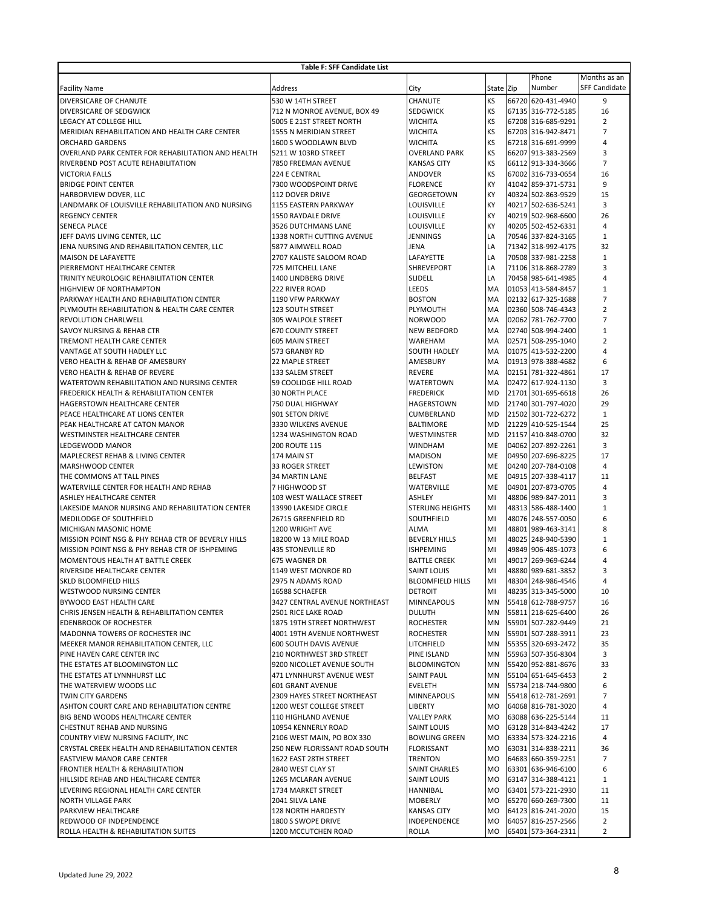| Table F: SFF Candidate List                                                  |                                                        |                                     |                 |       |                                          |                                  |  |
|------------------------------------------------------------------------------|--------------------------------------------------------|-------------------------------------|-----------------|-------|------------------------------------------|----------------------------------|--|
|                                                                              |                                                        |                                     |                 |       | Phone                                    | Months as an                     |  |
| <b>Facility Name</b>                                                         | Address                                                | City                                | State           | Zip   | Number                                   | <b>SFF Candidate</b>             |  |
| DIVERSICARE OF CHANUTE                                                       | 530 W 14TH STREET                                      | CHANUTE                             | KS              | 66720 | 620-431-4940                             | 9                                |  |
| <b>DIVERSICARE OF SEDGWICK</b>                                               | 712 N MONROE AVENUE, BOX 49                            | <b>SEDGWICK</b>                     | KS              |       | 67135 316-772-5185                       | 16                               |  |
| LEGACY AT COLLEGE HILL<br>MERIDIAN REHABILITATION AND HEALTH CARE CENTER     | 5005 E 21ST STREET NORTH<br>1555 N MERIDIAN STREET     | <b>WICHITA</b><br><b>WICHITA</b>    | <b>KS</b><br>KS |       | 67208 316-685-9291<br>67203 316-942-8471 | $\overline{2}$<br>$\overline{7}$ |  |
| <b>ORCHARD GARDENS</b>                                                       | 1600 S WOODLAWN BLVD                                   | <b>WICHITA</b>                      | <b>KS</b>       |       | 67218 316-691-9999                       | $\overline{4}$                   |  |
| OVERLAND PARK CENTER FOR REHABILITATION AND HEALTH                           | 5211 W 103RD STREET                                    | <b>OVERLAND PARK</b>                | KS              |       | 66207 913-383-2569                       | 3                                |  |
| RIVERBEND POST ACUTE REHABILITATION                                          | 7850 FREEMAN AVENUE                                    | <b>KANSAS CITY</b>                  | <b>KS</b>       |       | 66112 913-334-3666                       | $\overline{7}$                   |  |
| <b>VICTORIA FALLS</b>                                                        | 224 E CENTRAL                                          | ANDOVER                             | <b>KS</b>       |       | 67002 316-733-0654                       | 16                               |  |
| <b>BRIDGE POINT CENTER</b>                                                   | 7300 WOODSPOINT DRIVE                                  | <b>FLORENCE</b>                     | KY              |       | 41042 859-371-5731                       | 9                                |  |
| HARBORVIEW DOVER, LLC                                                        | <b>112 DOVER DRIVE</b>                                 | GEORGETOWN                          | KY              |       | 40324 502-863-9529                       | 15                               |  |
| LANDMARK OF LOUISVILLE REHABILITATION AND NURSING                            | 1155 EASTERN PARKWAY                                   | LOUISVILLE                          | KY              | 40217 | 502-636-5241                             | 3                                |  |
| <b>REGENCY CENTER</b>                                                        | 1550 RAYDALE DRIVE                                     | LOUISVILLE                          | KY              |       | 40219 502-968-6600                       | 26                               |  |
| <b>SENECA PLACE</b>                                                          | 3526 DUTCHMANS LANE                                    | <b>LOUISVILLE</b>                   | KY              |       | 40205 502-452-6331                       | $\overline{4}$                   |  |
| JEFF DAVIS LIVING CENTER, LLC                                                | 1338 NORTH CUTTING AVENUE                              | <b>JENNINGS</b>                     | LA              |       | 70546 337-824-3165                       | 1                                |  |
| JENA NURSING AND REHABILITATION CENTER, LLC                                  | 5877 AIMWELL ROAD                                      | <b>JENA</b>                         | LA              |       | 71342 318-992-4175                       | 32                               |  |
| <b>MAISON DE LAFAYETTE</b>                                                   | 2707 KALISTE SALOOM ROAD                               | LAFAYETTE                           | LA              |       | 70508 337-981-2258                       | $\mathbf{1}$                     |  |
| PIERREMONT HEALTHCARE CENTER                                                 | 725 MITCHELL LANE                                      | SHREVEPORT                          | LA              |       | 71106 318-868-2789                       | 3                                |  |
| TRINITY NEUROLOGIC REHABILITATION CENTER                                     | 1400 LINDBERG DRIVE                                    | <b>SLIDELL</b>                      | LA              |       | 70458 985-641-4985                       | 4                                |  |
| <b>HIGHVIEW OF NORTHAMPTON</b>                                               | <b>222 RIVER ROAD</b>                                  | LEEDS<br><b>BOSTON</b>              | MA              |       | 01053 413-584-8457                       | $\mathbf{1}$<br>$\overline{7}$   |  |
| PARKWAY HEALTH AND REHABILITATION CENTER                                     | 1190 VFW PARKWAY<br><b>123 SOUTH STREET</b>            |                                     | MA<br><b>MA</b> |       | 02132 617-325-1688<br>02360 508-746-4343 | $\overline{2}$                   |  |
| PLYMOUTH REHABILITATION & HEALTH CARE CENTER<br><b>REVOLUTION CHARLWELL</b>  | 305 WALPOLE STREET                                     | PLYMOUTH<br><b>NORWOOD</b>          | <b>MA</b>       |       | 02062 781-762-7700                       | $\overline{7}$                   |  |
| SAVOY NURSING & REHAB CTR                                                    | <b>670 COUNTY STREET</b>                               | <b>NEW BEDFORD</b>                  | MA              |       | 02740 508-994-2400                       | $\mathbf{1}$                     |  |
| TREMONT HEALTH CARE CENTER                                                   | <b>605 MAIN STREET</b>                                 | WAREHAM                             | MA              |       | 02571 508-295-1040                       | $\overline{2}$                   |  |
| VANTAGE AT SOUTH HADLEY LLC                                                  | 573 GRANBY RD                                          | <b>SOUTH HADLEY</b>                 | MA              |       | 01075 413-532-2200                       | 4                                |  |
| VERO HEALTH & REHAB OF AMESBURY                                              | 22 MAPLE STREET                                        | AMESBURY                            | MA              |       | 01913 978-388-4682                       | 6                                |  |
| <b>VERO HEALTH &amp; REHAB OF REVERE</b>                                     | 133 SALEM STREET                                       | <b>REVERE</b>                       | MA              |       | 02151 781-322-4861                       | 17                               |  |
| WATERTOWN REHABILITATION AND NURSING CENTER                                  | 59 COOLIDGE HILL ROAD                                  | <b>WATERTOWN</b>                    | MA              |       | 02472 617-924-1130                       | 3                                |  |
| <b>FREDERICK HEALTH &amp; REHABILITATION CENTER</b>                          | <b>30 NORTH PLACE</b>                                  | <b>FREDERICK</b>                    | <b>MD</b>       |       | 21701 301-695-6618                       | 26                               |  |
| HAGERSTOWN HEALTHCARE CENTER                                                 | 750 DUAL HIGHWAY                                       | HAGERSTOWN                          | <b>MD</b>       |       | 21740 301-797-4020                       | 29                               |  |
| PEACE HEALTHCARE AT LIONS CENTER                                             | 901 SETON DRIVE                                        | CUMBERLAND                          | <b>MD</b>       |       | 21502 301-722-6272                       | $\mathbf{1}$                     |  |
| PEAK HEALTHCARE AT CATON MANOR                                               | 3330 WILKENS AVENUE                                    | <b>BALTIMORE</b>                    | <b>MD</b>       |       | 21229 410-525-1544                       | 25                               |  |
| WESTMINSTER HEALTHCARE CENTER                                                | 1234 WASHINGTON ROAD                                   | WESTMINSTER                         | <b>MD</b>       |       | 21157 410-848-0700                       | 32                               |  |
| LEDGEWOOD MANOR                                                              | <b>200 ROUTE 115</b>                                   | WINDHAM                             | <b>ME</b>       |       | 04062 207-892-2261                       | 3                                |  |
| MAPLECREST REHAB & LIVING CENTER                                             | 174 MAIN ST                                            | <b>MADISON</b>                      | <b>ME</b>       |       | 04950 207-696-8225                       | 17                               |  |
| <b>MARSHWOOD CENTER</b><br>THE COMMONS AT TALL PINES                         | 33 ROGER STREET<br><b>34 MARTIN LANE</b>               | <b>LEWISTON</b><br><b>BELFAST</b>   | ME<br>ME        |       | 04240 207-784-0108<br>04915 207-338-4117 | $\overline{4}$<br>11             |  |
| WATERVILLE CENTER FOR HEALTH AND REHAB                                       | 7 HIGHWOOD ST                                          | WATERVILLE                          | ME              | 04901 | 207-873-0705                             | $\overline{4}$                   |  |
| ASHLEY HEALTHCARE CENTER                                                     | 103 WEST WALLACE STREET                                | <b>ASHLEY</b>                       | MI              |       | 48806 989-847-2011                       | 3                                |  |
| LAKESIDE MANOR NURSING AND REHABILITATION CENTER                             | 13990 LAKESIDE CIRCLE                                  | <b>STERLING HEIGHTS</b>             | MI              | 48313 | 586-488-1400                             | 1                                |  |
| MEDILODGE OF SOUTHFIELD                                                      | 26715 GREENFIELD RD                                    | SOUTHFIELD                          | MI              |       | 48076 248-557-0050                       | 6                                |  |
| <b>MICHIGAN MASONIC HOME</b>                                                 | 1200 WRIGHT AVE                                        | <b>ALMA</b>                         | MI              | 48801 | 989-463-3141                             | 8                                |  |
| MISSION POINT NSG & PHY REHAB CTR OF BEVERLY HILLS                           | 18200 W 13 MILE ROAD                                   | <b>BEVERLY HILLS</b>                | MI              | 48025 | 248-940-5390                             | $\mathbf{1}$                     |  |
| MISSION POINT NSG & PHY REHAB CTR OF ISHPEMING                               | <b>435 STONEVILLE RD</b>                               | <b>ISHPEMING</b>                    | MI              | 49849 | 906-485-1073                             | 6                                |  |
| <b>MOMENTOUS HEALTH AT BATTLE CREEK</b>                                      | 675 WAGNER DR                                          | <b>BATTLE CREEK</b>                 | MI              | 49017 | 269-969-6244                             | 4                                |  |
| RIVERSIDE HEALTHCARE CENTER                                                  | 1149 WEST MONROE RD                                    | <b>SAINT LOUIS</b>                  | MI              | 48880 | 989-681-3852                             | 3                                |  |
| SKLD BLOOMFIELD HILLS                                                        | 2975 N ADAMS ROAD                                      | <b>BLOOMFIELD HILLS</b>             | MI              |       | 48304 248-986-4546                       | 4                                |  |
| <b>WESTWOOD NURSING CENTER</b>                                               | 16588 SCHAEFER                                         | <b>DETROIT</b>                      | MI              |       | 48235 313-345-5000                       | 10                               |  |
| BYWOOD EAST HEALTH CARE<br>CHRIS JENSEN HEALTH & REHABILITATION CENTER       | 3427 CENTRAL AVENUE NORTHEAST                          | MINNEAPOLIS<br><b>DULUTH</b>        | MN<br>MN        |       | 55418 612-788-9757                       | 16<br>26                         |  |
| <b>EDENBROOK OF ROCHESTER</b>                                                | 2501 RICE LAKE ROAD<br>1875 19TH STREET NORTHWEST      | <b>ROCHESTER</b>                    | MN              |       | 55811 218-625-6400<br>55901 507-282-9449 | 21                               |  |
| MADONNA TOWERS OF ROCHESTER INC                                              | 4001 19TH AVENUE NORTHWEST                             | <b>ROCHESTER</b>                    | MN              |       | 55901 507-288-3911                       | 23                               |  |
| MEEKER MANOR REHABILITATION CENTER, LLC                                      | <b>600 SOUTH DAVIS AVENUE</b>                          | LITCHFIELD                          | MN              |       | 55355 320-693-2472                       | 35                               |  |
| PINE HAVEN CARE CENTER INC                                                   | 210 NORTHWEST 3RD STREET                               | PINE ISLAND                         | <b>MN</b>       |       | 55963 507-356-8304                       | 3                                |  |
| THE ESTATES AT BLOOMINGTON LLC                                               | 9200 NICOLLET AVENUE SOUTH                             | <b>BLOOMINGTON</b>                  | <b>MN</b>       |       | 55420 952-881-8676                       | 33                               |  |
| THE ESTATES AT LYNNHURST LLC                                                 | 471 LYNNHURST AVENUE WEST                              | <b>SAINT PAUL</b>                   | <b>MN</b>       |       | 55104 651-645-6453                       | $\overline{2}$                   |  |
| THE WATERVIEW WOODS LLC                                                      | <b>601 GRANT AVENUE</b>                                | EVELETH                             | <b>MN</b>       |       | 55734 218-744-9800                       | 6                                |  |
| <b>TWIN CITY GARDENS</b>                                                     | 2309 HAYES STREET NORTHEAST                            | MINNEAPOLIS                         | MN              |       | 55418 612-781-2691                       | $\overline{7}$                   |  |
| ASHTON COURT CARE AND REHABILITATION CENTRE                                  | 1200 WEST COLLEGE STREET                               | <b>LIBERTY</b>                      | MO              |       | 64068 816-781-3020                       | 4                                |  |
| <b>BIG BEND WOODS HEALTHCARE CENTER</b>                                      | 110 HIGHLAND AVENUE                                    | <b>VALLEY PARK</b>                  | MO              |       | 63088 636-225-5144                       | 11                               |  |
| CHESTNUT REHAB AND NURSING                                                   | 10954 KENNERLY ROAD                                    | SAINT LOUIS                         | MO              |       | 63128 314-843-4242                       | 17                               |  |
| COUNTRY VIEW NURSING FACILITY, INC                                           | 2106 WEST MAIN, PO BOX 330                             | <b>BOWLING GREEN</b>                | MO              |       | 63334 573-324-2216                       | 4                                |  |
| CRYSTAL CREEK HEALTH AND REHABILITATION CENTER<br>EASTVIEW MANOR CARE CENTER | 250 NEW FLORISSANT ROAD SOUTH<br>1622 EAST 28TH STREET | <b>FLORISSANT</b><br><b>TRENTON</b> | MO<br>MO        |       | 63031 314-838-2211<br>64683 660-359-2251 | 36<br>7                          |  |
| FRONTIER HEALTH & REHABILITATION                                             | 2840 WEST CLAY ST                                      | SAINT CHARLES                       | MO              |       | 63301 636-946-6100                       | 6                                |  |
| HILLSIDE REHAB AND HEALTHCARE CENTER                                         | 1265 MCLARAN AVENUE                                    | <b>SAINT LOUIS</b>                  | MO              |       | 63147 314-388-4121                       | $\mathbf{1}$                     |  |
| LEVERING REGIONAL HEALTH CARE CENTER                                         | 1734 MARKET STREET                                     | HANNIBAL                            | MO              |       | 63401 573-221-2930                       | 11                               |  |
| NORTH VILLAGE PARK                                                           | 2041 SILVA LANE                                        | MOBERLY                             | MO              |       | 65270 660-269-7300                       | 11                               |  |
| PARKVIEW HEALTHCARE                                                          | <b>128 NORTH HARDESTY</b>                              | <b>KANSAS CITY</b>                  | <b>MO</b>       |       | 64123 816-241-2020                       | 15                               |  |
| REDWOOD OF INDEPENDENCE                                                      | 1800 S SWOPE DRIVE                                     | INDEPENDENCE                        | <b>MO</b>       |       | 64057 816-257-2566                       | $\overline{2}$                   |  |
| ROLLA HEALTH & REHABILITATION SUITES                                         | 1200 MCCUTCHEN ROAD                                    | <b>ROLLA</b>                        | MO              |       | 65401 573-364-2311                       | 2                                |  |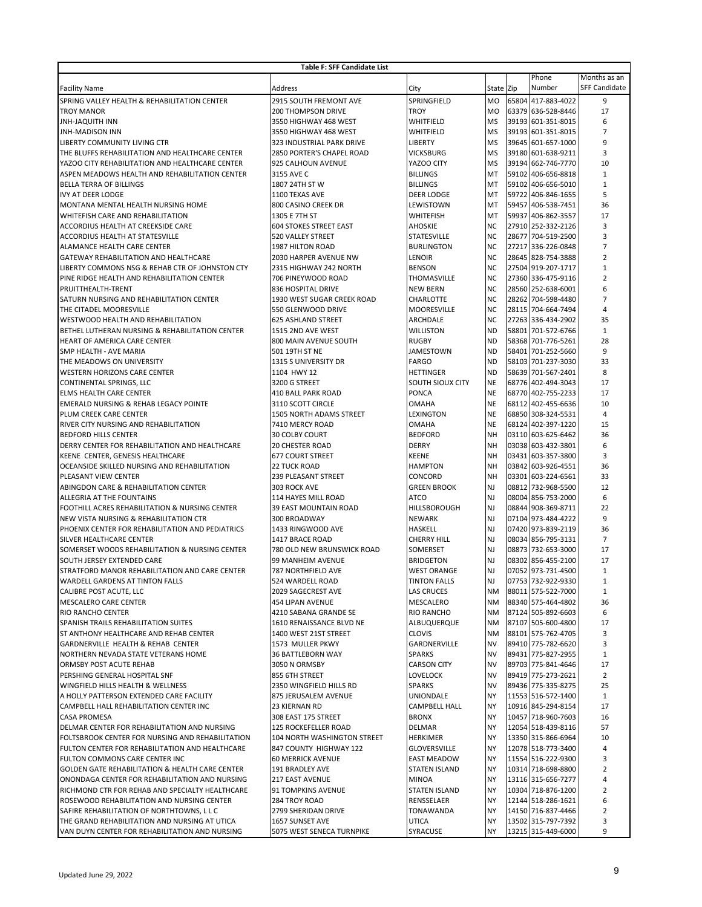| Table F: SFF Candidate List                                |                               |                      |           |       |                    |                      |
|------------------------------------------------------------|-------------------------------|----------------------|-----------|-------|--------------------|----------------------|
|                                                            |                               |                      |           |       | Phone              | Months as an         |
| <b>Facility Name</b>                                       | Address                       | City                 | State     | Zip   | Number             | <b>SFF Candidate</b> |
| SPRING VALLEY HEALTH & REHABILITATION CENTER               | 2915 SOUTH FREMONT AVE        | SPRINGFIELD          | <b>MO</b> | 65804 | 417-883-4022       | 9                    |
| <b>TROY MANOR</b>                                          | <b>200 THOMPSON DRIVE</b>     | <b>TROY</b>          | MO        |       | 63379 636-528-8446 | 17                   |
| <b>JNH-JAQUITH INN</b>                                     | 3550 HIGHWAY 468 WEST         | WHITFIELD            | MS        | 39193 | 601-351-8015       | 6                    |
| <b>JNH-MADISON INN</b>                                     | 3550 HIGHWAY 468 WEST         | WHITFIELD            | <b>MS</b> |       | 39193 601-351-8015 | $\overline{7}$       |
| LIBERTY COMMUNITY LIVING CTR                               | 323 INDUSTRIAL PARK DRIVE     | <b>LIBERTY</b>       | MS        | 39645 | 601-657-1000       | 9                    |
| THE BLUFFS REHABILITATION AND HEALTHCARE CENTER            | 2850 PORTER'S CHAPEL ROAD     | <b>VICKSBURG</b>     | <b>MS</b> |       | 39180 601-638-9211 | 3                    |
| YAZOO CITY REHABILITATION AND HEALTHCARE CENTER            | 925 CALHOUN AVENUE            | YAZOO CITY           | MS        | 39194 | 662-746-7770       | 10                   |
| ASPEN MEADOWS HEALTH AND REHABILITATION CENTER             | 3155 AVE C                    | <b>BILLINGS</b>      | MT        |       | 59102 406-656-8818 | $\mathbf{1}$         |
| <b>BELLA TERRA OF BILLINGS</b>                             | 1807 24TH ST W                | <b>BILLINGS</b>      | MT        | 59102 | 406-656-5010       | $\mathbf{1}$         |
| <b>IVY AT DEER LODGE</b>                                   | 1100 TEXAS AVE                | <b>DEER LODGE</b>    | MT        |       | 59722 406-846-1655 | 5                    |
| MONTANA MENTAL HEALTH NURSING HOME                         | 800 CASINO CREEK DR           | LEWISTOWN            | MT        | 59457 | 406-538-7451       | 36                   |
| WHITEFISH CARE AND REHABILITATION                          | 1305 E 7TH ST                 | <b>WHITEFISH</b>     | MT        | 59937 | 406-862-3557       | 17                   |
| ACCORDIUS HEALTH AT CREEKSIDE CARE                         | <b>604 STOKES STREET EAST</b> | <b>AHOSKIE</b>       | <b>NC</b> | 27910 | 252-332-2126       | 3                    |
| <b>ACCORDIUS HEALTH AT STATESVILLE</b>                     | 520 VALLEY STREET             | <b>STATESVILLE</b>   | <b>NC</b> | 28677 | 704-519-2500       | 3                    |
| ALAMANCE HEALTH CARE CENTER                                | 1987 HILTON ROAD              | <b>BURLINGTON</b>    | <b>NC</b> | 27217 | 336-226-0848       | $\overline{7}$       |
| GATEWAY REHABILITATION AND HEALTHCARE                      | 2030 HARPER AVENUE NW         | <b>LENOIR</b>        | <b>NC</b> | 28645 | 828-754-3888       | 2                    |
| LIBERTY COMMONS NSG & REHAB CTR OF JOHNSTON CTY            | 2315 HIGHWAY 242 NORTH        | <b>BENSON</b>        | <b>NC</b> |       | 27504 919-207-1717 | $\mathbf{1}$         |
| PINE RIDGE HEALTH AND REHABILITATION CENTER                | 706 PINEYWOOD ROAD            | THOMASVILLE          | <b>NC</b> |       | 27360 336-475-9116 | $\overline{2}$       |
| PRUITTHEALTH-TRENT                                         | <b>836 HOSPITAL DRIVE</b>     | <b>NEW BERN</b>      | <b>NC</b> |       | 28560 252-638-6001 | 6                    |
| SATURN NURSING AND REHABILITATION CENTER                   | 1930 WEST SUGAR CREEK ROAD    | CHARLOTTE            | <b>NC</b> | 28262 | 704-598-4480       | $\overline{7}$       |
| THE CITADEL MOORESVILLE                                    | 550 GLENWOOD DRIVE            | <b>MOORESVILLE</b>   | <b>NC</b> |       | 28115 704-664-7494 | 4                    |
| <b>WESTWOOD HEALTH AND REHABILITATION</b>                  | <b>625 ASHLAND STREET</b>     | ARCHDALE             | <b>NC</b> |       | 27263 336-434-2902 | 35                   |
| BETHEL LUTHERAN NURSING & REHABILITATION CENTER            | 1515 2ND AVE WEST             | <b>WILLISTON</b>     | <b>ND</b> |       | 58801 701-572-6766 | $\mathbf{1}$         |
| HEART OF AMERICA CARE CENTER                               | 800 MAIN AVENUE SOUTH         | <b>RUGBY</b>         | <b>ND</b> |       | 58368 701-776-5261 | 28                   |
| SMP HEALTH - AVE MARIA                                     | 501 19TH ST NE                | <b>JAMESTOWN</b>     | <b>ND</b> |       | 58401 701-252-5660 | 9                    |
| THE MEADOWS ON UNIVERSITY                                  | 1315 S UNIVERSITY DR          | <b>FARGO</b>         | <b>ND</b> |       | 58103 701-237-3030 | 33                   |
| <b>WESTERN HORIZONS CARE CENTER</b>                        | 1104 HWY 12                   | <b>HETTINGER</b>     | <b>ND</b> |       | 58639 701-567-2401 | 8                    |
| <b>CONTINENTAL SPRINGS, LLC</b>                            | 3200 G STREET                 | SOUTH SIOUX CITY     | <b>NE</b> |       | 68776 402-494-3043 | 17                   |
| <b>ELMS HEALTH CARE CENTER</b>                             | <b>410 BALL PARK ROAD</b>     | <b>PONCA</b>         | <b>NE</b> |       | 68770 402-755-2233 | 17                   |
| <b>EMERALD NURSING &amp; REHAB LEGACY POINTE</b>           | 3110 SCOTT CIRCLE             | <b>OMAHA</b>         | <b>NE</b> | 68112 | 402-455-6636       | 10                   |
| PLUM CREEK CARE CENTER                                     | 1505 NORTH ADAMS STREET       | <b>LEXINGTON</b>     | <b>NE</b> |       | 68850 308-324-5531 | $\overline{4}$       |
| RIVER CITY NURSING AND REHABILITATION                      | 7410 MERCY ROAD               | <b>OMAHA</b>         | <b>NE</b> | 68124 | 402-397-1220       | 15                   |
| <b>BEDFORD HILLS CENTER</b>                                | <b>30 COLBY COURT</b>         | <b>BEDFORD</b>       | <b>NH</b> |       | 03110 603-625-6462 | 36                   |
| DERRY CENTER FOR REHABILITATION AND HEALTHCARE             | <b>20 CHESTER ROAD</b>        | <b>DERRY</b>         | <b>NH</b> | 03038 | 603-432-3801       | 6                    |
| KEENE CENTER, GENESIS HEALTHCARE                           | <b>677 COURT STREET</b>       | <b>KEENE</b>         | <b>NH</b> |       | 03431 603-357-3800 | 3                    |
| OCEANSIDE SKILLED NURSING AND REHABILITATION               | <b>22 TUCK ROAD</b>           | <b>HAMPTON</b>       | <b>NH</b> | 03842 | 603-926-4551       | 36                   |
| PLEASANT VIEW CENTER                                       | 239 PLEASANT STREET           | CONCORD              | <b>NH</b> |       | 03301 603-224-6561 | 33                   |
| ABINGDON CARE & REHABILITATION CENTER                      | 303 ROCK AVE                  | <b>GREEN BROOK</b>   | NJ        | 08812 | 732-968-5500       | 12                   |
| <b>ALLEGRIA AT THE FOUNTAINS</b>                           | 114 HAYES MILL ROAD           | <b>ATCO</b>          | NJ        |       | 08004 856-753-2000 | 6                    |
| <b>FOOTHILL ACRES REHABILITATION &amp; NURSING CENTER</b>  | <b>39 EAST MOUNTAIN ROAD</b>  | <b>HILLSBOROUGH</b>  | NJ        |       | 08844 908-369-8711 | 22                   |
| <b>NEW VISTA NURSING &amp; REHABILITATION CTR</b>          | 300 BROADWAY                  | <b>NEWARK</b>        | <b>NJ</b> |       | 07104 973-484-4222 | 9                    |
| PHOENIX CENTER FOR REHABILITATION AND PEDIATRICS           | 1433 RINGWOOD AVE             | <b>HASKELL</b>       | <b>NJ</b> |       | 07420 973-839-2119 | 36                   |
| SILVER HEALTHCARE CENTER                                   | 1417 BRACE ROAD               | <b>CHERRY HILL</b>   | NJ        |       | 08034 856-795-3131 | $\overline{7}$       |
| SOMERSET WOODS REHABILITATION & NURSING CENTER             | 780 OLD NEW BRUNSWICK ROAD    | SOMERSET             | <b>NJ</b> | 08873 | 732-653-3000       | 17                   |
| SOUTH JERSEY EXTENDED CARE                                 | 99 MANHEIM AVENUE             | <b>BRIDGETON</b>     | NJ        |       | 08302 856-455-2100 | 17                   |
| STRATFORD MANOR REHABILITATION AND CARE CENTER             | 787 NORTHFIELD AVE            | <b>WEST ORANGE</b>   | NJ        |       | 07052 973-731-4500 | $\mathbf{1}$         |
| WARDELL GARDENS AT TINTON FALLS                            | 524 WARDELL ROAD              | <b>TINTON FALLS</b>  | NJ.       |       | 07753 732-922-9330 | 1                    |
| CALIBRE POST ACUTE, LLC                                    | 2029 SAGECREST AVE            | <b>LAS CRUCES</b>    | <b>NM</b> |       | 88011 575-522-7000 | $\mathbf{1}$         |
| MESCALERO CARE CENTER                                      | 454 LIPAN AVENUE              | MESCALERO            | NM        |       | 88340 575-464-4802 | 36                   |
| <b>RIO RANCHO CENTER</b>                                   | 4210 SABANA GRANDE SE         | <b>RIO RANCHO</b>    | NM        |       | 87124 505-892-6603 | 6                    |
| SPANISH TRAILS REHABILITATION SUITES                       | 1610 RENAISSANCE BLVD NE      | ALBUQUERQUE          | <b>NM</b> |       | 87107 505-600-4800 | 17                   |
| ST ANTHONY HEALTHCARE AND REHAB CENTER                     | 1400 WEST 21ST STREET         | <b>CLOVIS</b>        | <b>NM</b> |       | 88101 575-762-4705 | 3                    |
| GARDNERVILLE HEALTH & REHAB CENTER                         | 1573 MULLER PKWY              | GARDNERVILLE         | <b>NV</b> |       | 89410 775-782-6620 | 3                    |
| NORTHERN NEVADA STATE VETERANS HOME                        | <b>36 BATTLEBORN WAY</b>      | <b>SPARKS</b>        | <b>NV</b> |       | 89431 775-827-2955 | $\mathbf{1}$         |
| ORMSBY POST ACUTE REHAB                                    | 3050 N ORMSBY                 | <b>CARSON CITY</b>   | <b>NV</b> |       | 89703 775-841-4646 | 17                   |
| PERSHING GENERAL HOSPITAL SNF                              | 855 6TH STREET                | <b>LOVELOCK</b>      | <b>NV</b> |       | 89419 775-273-2621 | $\overline{2}$       |
| WINGFIELD HILLS HEALTH & WELLNESS                          | 2350 WINGFIELD HILLS RD       | <b>SPARKS</b>        | <b>NV</b> |       | 89436 775-335-8275 | 25                   |
| A HOLLY PATTERSON EXTENDED CARE FACILITY                   | 875 JERUSALEM AVENUE          | <b>UNIONDALE</b>     | <b>NY</b> |       | 11553 516-572-1400 | $\mathbf{1}$         |
| CAMPBELL HALL REHABILITATION CENTER INC                    | 23 KIERNAN RD                 | <b>CAMPBELL HALL</b> | <b>NY</b> |       | 10916 845-294-8154 | 17                   |
| <b>CASA PROMESA</b>                                        | 308 EAST 175 STREET           | <b>BRONX</b>         | <b>NY</b> |       | 10457 718-960-7603 | 16                   |
| DELMAR CENTER FOR REHABILITATION AND NURSING               | 125 ROCKEFELLER ROAD          | DELMAR               | <b>NY</b> |       | 12054 518-439-8116 | 57                   |
| FOLTSBROOK CENTER FOR NURSING AND REHABILITATION           | 104 NORTH WASHINGTON STREET   | <b>HERKIMER</b>      | <b>NY</b> |       | 13350 315-866-6964 | 10                   |
| FULTON CENTER FOR REHABILITATION AND HEALTHCARE            | 847 COUNTY HIGHWAY 122        | GLOVERSVILLE         | <b>NY</b> |       | 12078 518-773-3400 | 4                    |
| FULTON COMMONS CARE CENTER INC                             | <b>60 MERRICK AVENUE</b>      | <b>EAST MEADOW</b>   | <b>NY</b> |       | 11554 516-222-9300 | 3                    |
| <b>GOLDEN GATE REHABILITATION &amp; HEALTH CARE CENTER</b> | 191 BRADLEY AVE               | <b>STATEN ISLAND</b> | <b>NY</b> |       | 10314 718-698-8800 | $\overline{2}$       |
| ONONDAGA CENTER FOR REHABILITATION AND NURSING             | <b>217 EAST AVENUE</b>        | <b>MINOA</b>         | <b>NY</b> |       | 13116 315-656-7277 | 4                    |
| RICHMOND CTR FOR REHAB AND SPECIALTY HEALTHCARE            | 91 TOMPKINS AVENUE            | STATEN ISLAND        | <b>NY</b> |       | 10304 718-876-1200 | 2                    |
| ROSEWOOD REHABILITATION AND NURSING CENTER                 | 284 TROY ROAD                 | RENSSELAER           | <b>NY</b> |       | 12144 518-286-1621 | 6                    |
| SAFIRE REHABILITATION OF NORTHTOWNS, LLC                   | 2799 SHERIDAN DRIVE           | <b>TONAWANDA</b>     | <b>NY</b> |       | 14150 716-837-4466 | 2                    |
| THE GRAND REHABILITATION AND NURSING AT UTICA              | 1657 SUNSET AVE               | <b>UTICA</b>         | <b>NY</b> |       | 13502 315-797-7392 | 3                    |
| VAN DUYN CENTER FOR REHABILITATION AND NURSING             | 5075 WEST SENECA TURNPIKE     | SYRACUSE             | NY        |       | 13215 315-449-6000 | 9                    |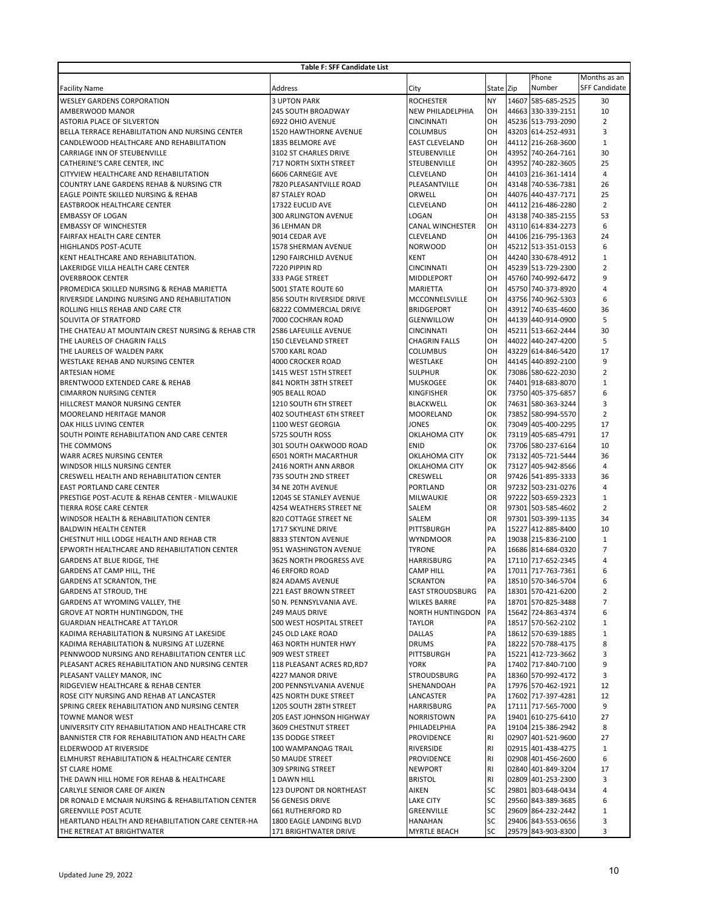|                                                                           | Table F: SFF Candidate List                        |                                                |                        |       |                                          |                                  |
|---------------------------------------------------------------------------|----------------------------------------------------|------------------------------------------------|------------------------|-------|------------------------------------------|----------------------------------|
|                                                                           |                                                    |                                                |                        |       | Phone                                    | Months as an                     |
| <b>Facility Name</b>                                                      | Address                                            | City                                           | State                  | Zip   | Number                                   | <b>SFF Candidate</b>             |
| <b>WESLEY GARDENS CORPORATION</b>                                         | <b>3 UPTON PARK</b>                                | <b>ROCHESTER</b><br><b>NEW PHILADELPHIA</b>    | <b>NY</b><br>OH        | 14607 | 585-685-2525                             | 30<br>10                         |
| AMBERWOOD MANOR<br>ASTORIA PLACE OF SILVERTON                             | <b>245 SOUTH BROADWAY</b><br>6922 OHIO AVENUE      | <b>CINCINNATI</b>                              | OH                     |       | 44663 330-339-2151<br>45236 513-793-2090 | $\overline{2}$                   |
| BELLA TERRACE REHABILITATION AND NURSING CENTER                           | 1520 HAWTHORNE AVENUE                              | <b>COLUMBUS</b>                                | OH                     |       | 43203 614-252-4931                       | 3                                |
| CANDLEWOOD HEALTHCARE AND REHABILITATION                                  | 1835 BELMORE AVE                                   | <b>EAST CLEVELAND</b>                          | OH                     |       | 44112 216-268-3600                       | $\mathbf{1}$                     |
| CARRIAGE INN OF STEUBENVILLE                                              | 3102 ST CHARLES DRIVE                              | STEUBENVILLE                                   | OH                     |       | 43952 740-264-7161                       | 30                               |
| CATHERINE'S CARE CENTER, INC                                              | 717 NORTH SIXTH STREET                             | STEUBENVILLE                                   | OH                     |       | 43952 740-282-3605                       | 25                               |
| CITYVIEW HEALTHCARE AND REHABILITATION                                    | 6606 CARNEGIE AVE                                  | CLEVELAND                                      | OH                     |       | 44103 216-361-1414                       | 4                                |
| COUNTRY LANE GARDENS REHAB & NURSING CTR                                  | 7820 PLEASANTVILLE ROAD                            | PLEASANTVILLE                                  | OH                     |       | 43148 740-536-7381                       | 26                               |
| EAGLE POINTE SKILLED NURSING & REHAB                                      | <b>87 STALEY ROAD</b>                              | ORWELL                                         | OH                     |       | 44076 440-437-7171                       | 25                               |
| <b>EASTBROOK HEALTHCARE CENTER</b><br><b>EMBASSY OF LOGAN</b>             | 17322 EUCLID AVE<br>300 ARLINGTON AVENUE           | CLEVELAND<br>LOGAN                             | OH<br>OH               |       | 44112 216-486-2280<br>43138 740-385-2155 | $\overline{2}$<br>53             |
| <b>EMBASSY OF WINCHESTER</b>                                              | 36 LEHMAN DR                                       | <b>CANAL WINCHESTER</b>                        | OH                     |       | 43110 614-834-2273                       | 6                                |
| <b>FAIRFAX HEALTH CARE CENTER</b>                                         | 9014 CEDAR AVE                                     | CLEVELAND                                      | OH                     |       | 44106 216-795-1363                       | 24                               |
| HIGHLANDS POST-ACUTE                                                      | <b>1578 SHERMAN AVENUE</b>                         | <b>NORWOOD</b>                                 | OH                     |       | 45212 513-351-0153                       | 6                                |
| KENT HEALTHCARE AND REHABILITATION.                                       | 1290 FAIRCHILD AVENUE                              | <b>KENT</b>                                    | OH                     |       | 44240 330-678-4912                       | $\mathbf{1}$                     |
| LAKERIDGE VILLA HEALTH CARE CENTER                                        | 7220 PIPPIN RD                                     | <b>CINCINNATI</b>                              | OH                     |       | 45239 513-729-2300                       | $\overline{2}$                   |
| <b>OVERBROOK CENTER</b>                                                   | 333 PAGE STREET                                    | MIDDLEPORT                                     | OH                     |       | 45760 740-992-6472                       | 9                                |
| PROMEDICA SKILLED NURSING & REHAB MARIETTA                                | 5001 STATE ROUTE 60                                | MARIETTA                                       | OH                     |       | 45750 740-373-8920                       | 4                                |
| RIVERSIDE LANDING NURSING AND REHABILITATION                              | 856 SOUTH RIVERSIDE DRIVE                          | MCCONNELSVILLE                                 | OH                     |       | 43756 740-962-5303                       | 6                                |
| ROLLING HILLS REHAB AND CARE CTR<br>SOLIVITA OF STRATFORD                 | 68222 COMMERCIAL DRIVE<br>7000 COCHRAN ROAD        | <b>BRIDGEPORT</b><br>GLENWILLOW                | OH<br>OH               |       | 43912 740-635-4600<br>44139 440-914-0900 | 36<br>5                          |
| THE CHATEAU AT MOUNTAIN CREST NURSING & REHAB CTR                         | <b>2586 LAFEUILLE AVENUE</b>                       | <b>CINCINNATI</b>                              | OH                     |       | 45211 513-662-2444                       | 30                               |
| THE LAURELS OF CHAGRIN FALLS                                              | <b>150 CLEVELAND STREET</b>                        | <b>CHAGRIN FALLS</b>                           | OH                     | 44022 | 440-247-4200                             | 5                                |
| THE LAURELS OF WALDEN PARK                                                | 5700 KARL ROAD                                     | <b>COLUMBUS</b>                                | OH                     |       | 43229 614-846-5420                       | 17                               |
| <b>WESTLAKE REHAB AND NURSING CENTER</b>                                  | 4000 CROCKER ROAD                                  | <b>WESTLAKE</b>                                | OH                     |       | 44145 440-892-2100                       | 9                                |
| <b>ARTESIAN HOME</b>                                                      | 1415 WEST 15TH STREET                              | <b>SULPHUR</b>                                 | OK                     |       | 73086 580-622-2030                       | $\overline{2}$                   |
| BRENTWOOD EXTENDED CARE & REHAB                                           | 841 NORTH 38TH STREET                              | <b>MUSKOGEE</b>                                | OK                     |       | 74401 918-683-8070                       | $\mathbf{1}$                     |
| <b>CIMARRON NURSING CENTER</b>                                            | 905 BEALL ROAD                                     | <b>KINGFISHER</b>                              | OK                     |       | 73750 405-375-6857                       | 6                                |
| HILLCREST MANOR NURSING CENTER<br>MOORELAND HERITAGE MANOR                | 1210 SOUTH 6TH STREET<br>402 SOUTHEAST 6TH STREET  | <b>BLACKWELL</b><br>MOORELAND                  | OK<br>OK               | 74631 | 580-363-3244<br>73852 580-994-5570       | 3<br>$\overline{2}$              |
| OAK HILLS LIVING CENTER                                                   | 1100 WEST GEORGIA                                  | <b>JONES</b>                                   | OK                     |       | 73049 405-400-2295                       | 17                               |
| SOUTH POINTE REHABILITATION AND CARE CENTER                               | 5725 SOUTH ROSS                                    | OKLAHOMA CITY                                  | OK                     |       | 73119 405-685-4791                       | 17                               |
| THE COMMONS                                                               | 301 SOUTH OAKWOOD ROAD                             | <b>ENID</b>                                    | OK                     |       | 73706 580-237-6164                       | 10                               |
| WARR ACRES NURSING CENTER                                                 | <b>6501 NORTH MACARTHUR</b>                        | OKLAHOMA CITY                                  | OK                     |       | 73132 405-721-5444                       | 36                               |
| WINDSOR HILLS NURSING CENTER                                              | 2416 NORTH ANN ARBOR                               | OKLAHOMA CITY                                  | OK                     | 73127 | 405-942-8566                             | $\overline{4}$                   |
| CRESWELL HEALTH AND REHABILITATION CENTER                                 | 735 SOUTH 2ND STREET                               | CRESWELL                                       | <b>OR</b>              |       | 97426 541-895-3333                       | 36                               |
| <b>EAST PORTLAND CARE CENTER</b>                                          | 34 NE 20TH AVENUE                                  | PORTLAND                                       | <b>OR</b>              |       | 97232 503-231-0276                       | 4                                |
| PRESTIGE POST-ACUTE & REHAB CENTER - MILWAUKIE<br>TIERRA ROSE CARE CENTER | 12045 SE STANLEY AVENUE<br>4254 WEATHERS STREET NE | MILWAUKIE<br>SALEM                             | <b>OR</b><br><b>OR</b> |       | 97222 503-659-2323<br>97301 503-585-4602 | $\mathbf{1}$<br>$\overline{2}$   |
| WINDSOR HEALTH & REHABILITATION CENTER                                    | 820 COTTAGE STREET NE                              | SALEM                                          | <b>OR</b>              |       | 97301 503-399-1135                       | 34                               |
| <b>BALDWIN HEALTH CENTER</b>                                              | 1717 SKYLINE DRIVE                                 | PITTSBURGH                                     | PA                     | 15227 | 412-885-8400                             | 10                               |
| CHESTNUT HILL LODGE HEALTH AND REHAB CTR                                  | 8833 STENTON AVENUE                                | <b>WYNDMOOR</b>                                | PA                     |       | 19038 215-836-2100                       | $\mathbf{1}$                     |
| EPWORTH HEALTHCARE AND REHABILITATION CENTER                              | 951 WASHINGTON AVENUE                              | <b>TYRONE</b>                                  | PA                     |       | 16686 814-684-0320                       | 7                                |
| GARDENS AT BLUE RIDGE, THE                                                | 3625 NORTH PROGRESS AVE                            | HARRISBURG                                     | PA                     |       | 17110 717-652-2345                       | 4                                |
| GARDENS AT CAMP HILL, THE                                                 | <b>46 ERFORD ROAD</b>                              | <b>CAMP HILL</b>                               | PA                     |       | 17011 717-763-7361                       | 6                                |
| GARDENS AT SCRANTON, THE                                                  | 824 ADAMS AVENUE                                   | SCRANTON                                       | PA                     |       | 18510 570-346-5704                       | 6                                |
| <b>GARDENS AT STROUD, THE</b><br>GARDENS AT WYOMING VALLEY, THE           | 221 EAST BROWN STREET<br>50 N. PENNSYLVANIA AVE.   | <b>EAST STROUDSBURG</b><br><b>WILKES BARRE</b> | PA<br>PA               |       | 18301 570-421-6200<br>18701 570-825-3488 | $\overline{2}$<br>$\overline{7}$ |
| GROVE AT NORTH HUNTINGDON, THE                                            | 249 MAUS DRIVE                                     | NORTH HUNTINGDON                               | <b>IPA</b>             |       | 15642 724-863-4374                       | 6                                |
| <b>GUARDIAN HEALTHCARE AT TAYLOR</b>                                      | 500 WEST HOSPITAL STREET                           | <b>TAYLOR</b>                                  | PA                     |       | 18517 570-562-2102                       | $\mathbf{1}$                     |
| KADIMA REHABILITATION & NURSING AT LAKESIDE                               | 245 OLD LAKE ROAD                                  | <b>DALLAS</b>                                  | PA                     |       | 18612 570-639-1885                       | $\mathbf{1}$                     |
| KADIMA REHABILITATION & NURSING AT LUZERNE                                | <b>463 NORTH HUNTER HWY</b>                        | <b>DRUMS</b>                                   | PA                     |       | 18222 570-788-4175                       | 8                                |
| PENNWOOD NURSING AND REHABILITATION CENTER LLC                            | 909 WEST STREET                                    | PITTSBURGH                                     | PA                     |       | 15221 412-723-3662                       | 3                                |
| PLEASANT ACRES REHABILITATION AND NURSING CENTER                          | 118 PLEASANT ACRES RD, RD7                         | <b>YORK</b>                                    | PA                     |       | 17402 717-840-7100                       | 9                                |
| PLEASANT VALLEY MANOR, INC<br>RIDGEVIEW HEALTHCARE & REHAB CENTER         | 4227 MANOR DRIVE<br>200 PENNSYLVANIA AVENUE        | STROUDSBURG<br>SHENANDOAH                      | PA<br>PA               |       | 18360 570-992-4172<br>17976 570-462-1921 | 3<br>12                          |
| ROSE CITY NURSING AND REHAB AT LANCASTER                                  | 425 NORTH DUKE STREET                              | LANCASTER                                      | PA                     |       | 17602 717-397-4281                       | 12                               |
| SPRING CREEK REHABILITATION AND NURSING CENTER                            | 1205 SOUTH 28TH STREET                             | HARRISBURG                                     | PA                     |       | 17111 717-565-7000                       | 9                                |
| <b>TOWNE MANOR WEST</b>                                                   | <b>205 EAST JOHNSON HIGHWAY</b>                    | NORRISTOWN                                     | PA                     |       | 19401 610-275-6410                       | 27                               |
| UNIVERSITY CITY REHABILITATION AND HEALTHCARE CTR                         | 3609 CHESTNUT STREET                               | PHILADELPHIA                                   | PA                     |       | 19104 215-386-2942                       | 8                                |
| BANNISTER CTR FOR REHABILITATION AND HEALTH CARE                          | 135 DODGE STREET                                   | PROVIDENCE                                     | R1                     |       | 02907 401-521-9600                       | 27                               |
| ELDERWOOD AT RIVERSIDE                                                    | 100 WAMPANOAG TRAIL                                | RIVERSIDE                                      | <b>RI</b>              |       | 02915 401-438-4275                       | $\mathbf{1}$                     |
| ELMHURST REHABILITATION & HEALTHCARE CENTER                               | 50 MAUDE STREET                                    | PROVIDENCE                                     | R1                     |       | 02908 401-456-2600                       | 6                                |
| <b>ST CLARE HOME</b>                                                      | 309 SPRING STREET<br>1 DAWN HILL                   | <b>NEWPORT</b>                                 | R1                     |       | 02840 401-849-3204<br>02809 401-253-2300 | 17                               |
| THE DAWN HILL HOME FOR REHAB & HEALTHCARE<br>CARLYLE SENIOR CARE OF AIKEN | 123 DUPONT DR NORTHEAST                            | <b>BRISTOL</b><br>AIKEN                        | R1<br>SC               |       | 29801 803-648-0434                       | 3<br>4                           |
| DR RONALD E MCNAIR NURSING & REHABILITATION CENTER                        | 56 GENESIS DRIVE                                   | <b>LAKE CITY</b>                               | SC                     |       | 29560 843-389-3685                       | 6                                |
| <b>GREENVILLE POST ACUTE</b>                                              | <b>661 RUTHERFORD RD</b>                           | GREENVILLE                                     | SC                     |       | 29609 864-232-2442                       | $\mathbf{1}$                     |
| HEARTLAND HEALTH AND REHABILITATION CARE CENTER-HA                        | 1800 EAGLE LANDING BLVD                            | <b>HANAHAN</b>                                 | SC                     |       | 29406 843-553-0656                       | 3                                |
| THE RETREAT AT BRIGHTWATER                                                | 171 BRIGHTWATER DRIVE                              | MYRTLE BEACH                                   | SC                     |       | 29579 843-903-8300                       | 3                                |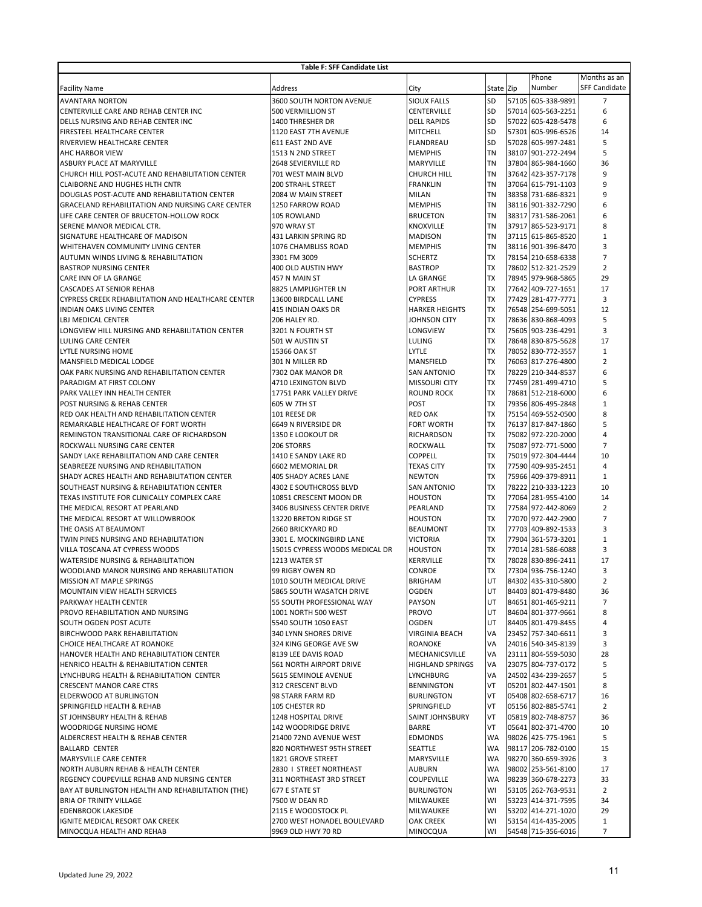| Table F: SFF Candidate List                                                   |                                                      |                                       |                        |       |                                          |                                      |  |
|-------------------------------------------------------------------------------|------------------------------------------------------|---------------------------------------|------------------------|-------|------------------------------------------|--------------------------------------|--|
|                                                                               |                                                      |                                       |                        |       | Phone<br>Number                          | Months as an<br><b>SFF Candidate</b> |  |
| Facility Name                                                                 | Address                                              | City                                  | State                  | Zip   |                                          |                                      |  |
| <b>AVANTARA NORTON</b>                                                        | 3600 SOUTH NORTON AVENUE                             | <b>SIOUX FALLS</b>                    | SD                     | 57105 | 605-338-9891                             | 7                                    |  |
| CENTERVILLE CARE AND REHAB CENTER INC                                         | <b>500 VERMILLION ST</b>                             | CENTERVILLE                           | <b>SD</b>              |       | 57014 605-563-2251                       | 6                                    |  |
| DELLS NURSING AND REHAB CENTER INC                                            | 1400 THRESHER DR<br>1120 EAST 7TH AVENUE             | <b>DELL RAPIDS</b><br><b>MITCHELL</b> | <b>SD</b><br><b>SD</b> | 57022 | 605-428-5478<br>57301 605-996-6526       | 6<br>14                              |  |
| FIRESTEEL HEALTHCARE CENTER<br>RIVERVIEW HEALTHCARE CENTER                    | 611 EAST 2ND AVE                                     | FLANDREAU                             | <b>SD</b>              |       | 57028 605-997-2481                       | 5                                    |  |
| AHC HARBOR VIEW                                                               | 1513 N 2ND STREET                                    | <b>MEMPHIS</b>                        | <b>TN</b>              |       | 38107 901-272-2494                       | 5                                    |  |
| ASBURY PLACE AT MARYVILLE                                                     | 2648 SEVIERVILLE RD                                  | <b>MARYVILLE</b>                      | <b>TN</b>              | 37804 | 865-984-1660                             | 36                                   |  |
| CHURCH HILL POST-ACUTE AND REHABILITATION CENTER                              | 701 WEST MAIN BLVD                                   | <b>CHURCH HILL</b>                    | <b>TN</b>              |       | 37642 423-357-7178                       | 9                                    |  |
| <b>CLAIBORNE AND HUGHES HLTH CNTR</b>                                         | <b>200 STRAHL STREET</b>                             | <b>FRANKLIN</b>                       | <b>TN</b>              |       | 37064 615-791-1103                       | 9                                    |  |
| DOUGLAS POST-ACUTE AND REHABILITATION CENTER                                  | 2084 W MAIN STREET                                   | <b>MILAN</b>                          | <b>TN</b>              |       | 38358 731-686-8321                       | 9                                    |  |
| <b>GRACELAND REHABILITATION AND NURSING CARE CENTER</b>                       | 1250 FARROW ROAD                                     | <b>MEMPHIS</b>                        | <b>TN</b>              |       | 38116 901-332-7290                       | 6                                    |  |
| LIFE CARE CENTER OF BRUCETON-HOLLOW ROCK                                      | 105 ROWLAND                                          | <b>BRUCETON</b>                       | <b>TN</b>              | 38317 | 731-586-2061                             | 6                                    |  |
| SERENE MANOR MEDICAL CTR.                                                     | 970 WRAY ST                                          | <b>KNOXVILLE</b>                      | TN                     | 37917 | 865-523-9171                             | 8                                    |  |
| SIGNATURE HEALTHCARE OF MADISON                                               | 431 LARKIN SPRING RD                                 | <b>MADISON</b>                        | <b>TN</b>              |       | 37115 615-865-8520                       | $\mathbf{1}$                         |  |
| WHITEHAVEN COMMUNITY LIVING CENTER                                            | 1076 CHAMBLISS ROAD                                  | <b>MEMPHIS</b>                        | <b>TN</b>              |       | 38116 901-396-8470                       | 3                                    |  |
| AUTUMN WINDS LIVING & REHABILITATION                                          | 3301 FM 3009                                         | <b>SCHERTZ</b>                        | <b>TX</b>              |       | 78154 210-658-6338                       | 7                                    |  |
| <b>BASTROP NURSING CENTER</b>                                                 | 400 OLD AUSTIN HWY                                   | <b>BASTROP</b>                        | <b>TX</b>              |       | 78602 512-321-2529                       | $\overline{2}$                       |  |
| CARE INN OF LA GRANGE                                                         | 457 N MAIN ST                                        | LA GRANGE                             | TX                     |       | 78945 979-968-5865                       | 29                                   |  |
| <b>CASCADES AT SENIOR REHAB</b>                                               | 8825 LAMPLIGHTER LN                                  | PORT ARTHUR                           | TX                     |       | 77642 409-727-1651                       | 17                                   |  |
| CYPRESS CREEK REHABILITATION AND HEALTHCARE CENTER                            | 13600 BIRDCALL LANE                                  | <b>CYPRESS</b>                        | TX                     |       | 77429 281-477-7771                       | 3                                    |  |
| INDIAN OAKS LIVING CENTER                                                     | <b>415 INDIAN OAKS DR</b><br>206 HALEY RD.           | <b>HARKER HEIGHTS</b>                 | <b>TX</b>              |       | 76548 254-699-5051                       | 12                                   |  |
| LBJ MEDICAL CENTER                                                            | 3201 N FOURTH ST                                     | JOHNSON CITY                          | <b>TX</b><br><b>TX</b> |       | 78636 830-868-4093                       | 5<br>3                               |  |
| LONGVIEW HILL NURSING AND REHABILITATION CENTER<br>LULING CARE CENTER         | 501 W AUSTIN ST                                      | LONGVIEW<br>LULING                    | <b>TX</b>              |       | 75605 903-236-4291<br>78648 830-875-5628 | 17                                   |  |
| LYTLE NURSING HOME                                                            | 15366 OAK ST                                         | LYTLE                                 | <b>TX</b>              |       | 78052 830-772-3557                       | $\mathbf{1}$                         |  |
| <b>MANSFIELD MEDICAL LODGE</b>                                                | 301 N MILLER RD                                      | <b>MANSFIELD</b>                      | <b>TX</b>              |       | 76063 817-276-4800                       | $\overline{2}$                       |  |
| OAK PARK NURSING AND REHABILITATION CENTER                                    | 7302 OAK MANOR DR                                    | <b>SAN ANTONIO</b>                    | <b>TX</b>              |       | 78229 210-344-8537                       | 6                                    |  |
| PARADIGM AT FIRST COLONY                                                      | 4710 LEXINGTON BLVD                                  | <b>MISSOURI CITY</b>                  | <b>TX</b>              |       | 77459 281-499-4710                       | 5                                    |  |
| PARK VALLEY INN HEALTH CENTER                                                 | 17751 PARK VALLEY DRIVE                              | <b>ROUND ROCK</b>                     | <b>TX</b>              |       | 78681 512-218-6000                       | 6                                    |  |
| POST NURSING & REHAB CENTER                                                   | 605 W 7TH ST                                         | <b>POST</b>                           | <b>TX</b>              | 79356 | 806-495-2848                             | $\mathbf{1}$                         |  |
| RED OAK HEALTH AND REHABILITATION CENTER                                      | 101 REESE DR                                         | <b>RED OAK</b>                        | <b>TX</b>              |       | 75154 469-552-0500                       | 8                                    |  |
| REMARKABLE HEALTHCARE OF FORT WORTH                                           | 6649 N RIVERSIDE DR                                  | <b>FORT WORTH</b>                     | <b>TX</b>              | 76137 | 817-847-1860                             | 5                                    |  |
| REMINGTON TRANSITIONAL CARE OF RICHARDSON                                     | 1350 E LOOKOUT DR                                    | <b>RICHARDSON</b>                     | <b>TX</b>              |       | 75082 972-220-2000                       | 4                                    |  |
| ROCKWALL NURSING CARE CENTER                                                  | 206 STORRS                                           | <b>ROCKWALL</b>                       | <b>TX</b>              | 75087 | 972-771-5000                             | $\overline{7}$                       |  |
| SANDY LAKE REHABILITATION AND CARE CENTER                                     | 1410 E SANDY LAKE RD                                 | <b>COPPELL</b>                        | <b>TX</b>              |       | 75019 972-304-4444                       | 10                                   |  |
| SEABREEZE NURSING AND REHABILITATION                                          | 6602 MEMORIAL DR                                     | <b>TEXAS CITY</b>                     | <b>TX</b>              | 77590 | 409-935-2451                             | 4                                    |  |
| SHADY ACRES HEALTH AND REHABILITATION CENTER                                  | <b>405 SHADY ACRES LANE</b>                          | <b>NEWTON</b>                         | TX                     |       | 75966 409-379-8911                       | 1                                    |  |
| SOUTHEAST NURSING & REHABILITATION CENTER                                     | 4302 E SOUTHCROSS BLVD                               | <b>SAN ANTONIO</b>                    | <b>TX</b>              | 78222 | 210-333-1223                             | 10                                   |  |
| TEXAS INSTITUTE FOR CLINICALLY COMPLEX CARE<br>THE MEDICAL RESORT AT PEARLAND | 10851 CRESCENT MOON DR<br>3406 BUSINESS CENTER DRIVE | <b>HOUSTON</b><br>PEARLAND            | <b>TX</b><br><b>TX</b> |       | 77064 281-955-4100<br>77584 972-442-8069 | 14<br>2                              |  |
| THE MEDICAL RESORT AT WILLOWBROOK                                             | 13220 BRETON RIDGE ST                                | <b>HOUSTON</b>                        | <b>TX</b>              |       | 77070 972-442-2900                       | 7                                    |  |
| THE OASIS AT BEAUMONT                                                         | 2660 BRICKYARD RD                                    | <b>BEAUMONT</b>                       | TX                     | 77703 | 409-892-1533                             | 3                                    |  |
| TWIN PINES NURSING AND REHABILITATION                                         | 3301 E. MOCKINGBIRD LANE                             | <b>VICTORIA</b>                       | TX                     |       | 77904 361-573-3201                       | $\mathbf{1}$                         |  |
| VILLA TOSCANA AT CYPRESS WOODS                                                | 15015 CYPRESS WOODS MEDICAL DR                       | <b>HOUSTON</b>                        | <b>TX</b>              |       | 77014 281-586-6088                       | 3                                    |  |
| <b>WATERSIDE NURSING &amp; REHABILITATION</b>                                 | 1213 WATER ST                                        | <b>KERRVILLE</b>                      | <b>TX</b>              | 78028 | 830-896-2411                             | 17                                   |  |
| WOODLAND MANOR NURSING AND REHABILITATION                                     | 99 RIGBY OWEN RD                                     | CONROE                                | <b>TX</b>              |       | 77304 936-756-1240                       | 3                                    |  |
| MISSION AT MAPLE SPRINGS                                                      | 1010 SOUTH MEDICAL DRIVE                             | BRIGHAM                               | UT                     |       | 84302 435-310-5800                       | 2                                    |  |
| MOUNTAIN VIEW HEALTH SERVICES                                                 | 5865 SOUTH WASATCH DRIVE                             | <b>OGDEN</b>                          | UT                     |       | 84403 801-479-8480                       | 36                                   |  |
| PARKWAY HEALTH CENTER                                                         | 55 SOUTH PROFESSIONAL WAY                            | <b>PAYSON</b>                         | UT                     |       | 84651 801-465-9211                       | 7                                    |  |
| PROVO REHABILITATION AND NURSING                                              | 1001 NORTH 500 WEST                                  | <b>PROVO</b>                          | UT                     |       | 84604 801-377-9661                       | 8                                    |  |
| SOUTH OGDEN POST ACUTE                                                        | 5540 SOUTH 1050 EAST                                 | <b>OGDEN</b>                          | UT                     |       | 84405 801-479-8455                       | 4                                    |  |
| <b>BIRCHWOOD PARK REHABILITATION</b>                                          | 340 LYNN SHORES DRIVE                                | <b>VIRGINIA BEACH</b>                 | VA                     |       | 23452 757-340-6611                       | 3                                    |  |
| CHOICE HEALTHCARE AT ROANOKE<br>HANOVER HEALTH AND REHABILITATION CENTER      | 324 KING GEORGE AVE SW<br>8139 LEE DAVIS ROAD        | <b>ROANOKE</b><br>MECHANICSVILLE      | VA<br>VA               |       | 24016 540-345-8139<br>23111 804-559-5030 | 3<br>28                              |  |
| HENRICO HEALTH & REHABILITATION CENTER                                        | 561 NORTH AIRPORT DRIVE                              | <b>HIGHLAND SPRINGS</b>               | VA                     |       | 23075 804-737-0172                       | 5                                    |  |
| LYNCHBURG HEALTH & REHABILITATION CENTER                                      | 5615 SEMINOLE AVENUE                                 | <b>LYNCHBURG</b>                      | VA                     |       | 24502 434-239-2657                       | 5                                    |  |
| <b>CRESCENT MANOR CARE CTRS</b>                                               | 312 CRESCENT BLVD                                    | <b>BENNINGTON</b>                     | VT                     |       | 05201 802-447-1501                       | 8                                    |  |
| ELDERWOOD AT BURLINGTON                                                       | 98 STARR FARM RD                                     | <b>BURLINGTON</b>                     | VT                     |       | 05408 802-658-6717                       | 16                                   |  |
| SPRINGFIELD HEALTH & REHAB                                                    | 105 CHESTER RD                                       | SPRINGFIELD                           | VT                     |       | 05156 802-885-5741                       | $\overline{2}$                       |  |
| ST JOHNSBURY HEALTH & REHAB                                                   | 1248 HOSPITAL DRIVE                                  | <b>SAINT JOHNSBURY</b>                | VT                     |       | 05819 802-748-8757                       | 36                                   |  |
| WOODRIDGE NURSING HOME                                                        | 142 WOODRIDGE DRIVE                                  | <b>BARRE</b>                          | VT                     |       | 05641 802-371-4700                       | 10                                   |  |
| ALDERCREST HEALTH & REHAB CENTER                                              | 21400 72ND AVENUE WEST                               | <b>EDMONDS</b>                        | <b>WA</b>              |       | 98026 425-775-1961                       | 5                                    |  |
| <b>BALLARD CENTER</b>                                                         | 820 NORTHWEST 95TH STREET                            | SEATTLE                               | <b>WA</b>              |       | 98117 206-782-0100                       | 15                                   |  |
| MARYSVILLE CARE CENTER                                                        | 1821 GROVE STREET                                    | MARYSVILLE                            | <b>WA</b>              |       | 98270 360-659-3926                       | 3                                    |  |
| NORTH AUBURN REHAB & HEALTH CENTER                                            | 2830   STREET NORTHEAST                              | <b>AUBURN</b>                         | <b>WA</b>              |       | 98002 253-561-8100                       | 17                                   |  |
| REGENCY COUPEVILLE REHAB AND NURSING CENTER                                   | 311 NORTHEAST 3RD STREET                             | <b>COUPEVILLE</b>                     | <b>WA</b>              |       | 98239 360-678-2273                       | 33                                   |  |
| BAY AT BURLINGTON HEALTH AND REHABILITATION (THE)                             | 677 E STATE ST                                       | <b>BURLINGTON</b>                     | WI                     |       | 53105 262-763-9531                       | $\overline{2}$                       |  |
| <b>BRIA OF TRINITY VILLAGE</b>                                                | 7500 W DEAN RD                                       | MILWAUKEE                             | WI                     |       | 53223 414-371-7595                       | 34                                   |  |
| <b>EDENBROOK LAKESIDE</b><br>IGNITE MEDICAL RESORT OAK CREEK                  | 2115 E WOODSTOCK PL<br>2700 WEST HONADEL BOULEVARD   | MILWAUKEE<br><b>OAK CREEK</b>         | WI<br>WI               |       | 53202 414-271-1020<br>53154 414-435-2005 | 29<br>$\mathbf{1}$                   |  |
| MINOCQUA HEALTH AND REHAB                                                     | 9969 OLD HWY 70 RD                                   | MINOCQUA                              | WI                     |       | 54548 715-356-6016                       | $\overline{7}$                       |  |